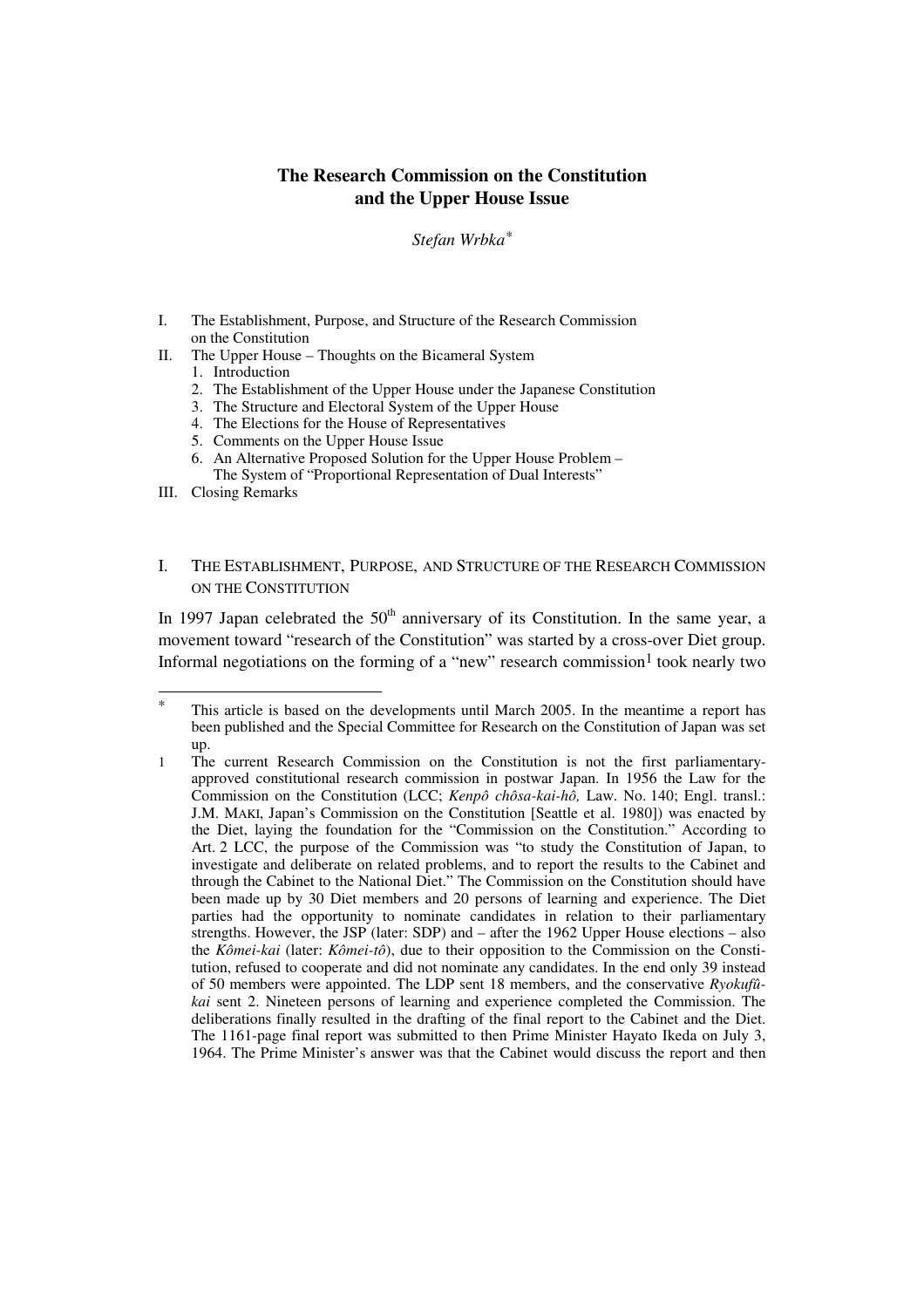# **The Research Commission on the Constitution and the Upper House Issue**

# *Stefan Wrbka\**

- I. The Establishment, Purpose, and Structure of the Research Commission on the Constitution
- II. The Upper House Thoughts on the Bicameral System
	- 1. Introduction
	- 2. The Establishment of the Upper House under the Japanese Constitution
	- 3. The Structure and Electoral System of the Upper House
	- 4. The Elections for the House of Representatives
	- 5. Comments on the Upper House Issue
	- 6. An Alternative Proposed Solution for the Upper House Problem The System of "Proportional Representation of Dual Interests"
- III. Closing Remarks

 $\overline{\phantom{a}}$ 

## I. THE ESTABLISHMENT, PURPOSE, AND STRUCTURE OF THE RESEARCH COMMISSION ON THE CONSTITUTION

In 1997 Japan celebrated the  $50<sup>th</sup>$  anniversary of its Constitution. In the same year, a movement toward "research of the Constitution" was started by a cross-over Diet group. Informal negotiations on the forming of a "new" research commission<sup>1</sup> took nearly two

This article is based on the developments until March 2005. In the meantime a report has been published and the Special Committee for Research on the Constitution of Japan was set up.

<sup>1</sup> The current Research Commission on the Constitution is not the first parliamentaryapproved constitutional research commission in postwar Japan. In 1956 the Law for the Commission on the Constitution (LCC; *Kenpô chôsa-kai-hô,* Law. No. 140; Engl. transl.: J.M. MAKI, Japan's Commission on the Constitution [Seattle et al. 1980]) was enacted by the Diet, laying the foundation for the "Commission on the Constitution." According to Art. 2 LCC, the purpose of the Commission was "to study the Constitution of Japan, to investigate and deliberate on related problems, and to report the results to the Cabinet and through the Cabinet to the National Diet." The Commission on the Constitution should have been made up by 30 Diet members and 20 persons of learning and experience. The Diet parties had the opportunity to nominate candidates in relation to their parliamentary strengths. However, the JSP (later: SDP) and – after the 1962 Upper House elections – also the *Kômei-kai* (later: *Kômei-tô*), due to their opposition to the Commission on the Constitution, refused to cooperate and did not nominate any candidates. In the end only 39 instead of 50 members were appointed. The LDP sent 18 members, and the conservative *Ryokufûkai* sent 2. Nineteen persons of learning and experience completed the Commission. The deliberations finally resulted in the drafting of the final report to the Cabinet and the Diet. The 1161-page final report was submitted to then Prime Minister Hayato Ikeda on July 3, 1964. The Prime Minister's answer was that the Cabinet would discuss the report and then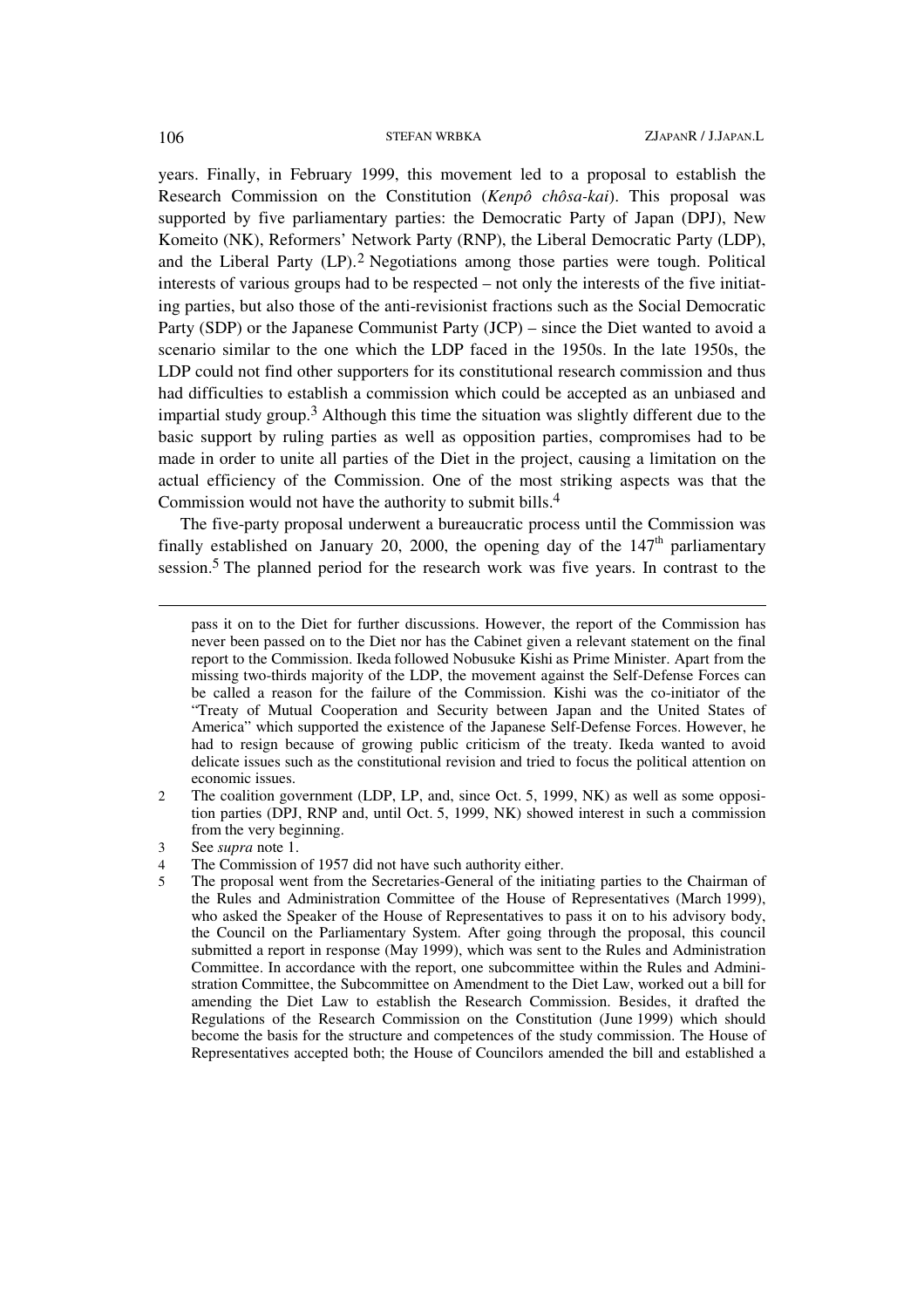years. Finally, in February 1999, this movement led to a proposal to establish the Research Commission on the Constitution (*Kenpô chôsa-kai*). This proposal was supported by five parliamentary parties: the Democratic Party of Japan (DPJ), New Komeito (NK), Reformers' Network Party (RNP), the Liberal Democratic Party (LDP), and the Liberal Party (LP).2 Negotiations among those parties were tough. Political interests of various groups had to be respected – not only the interests of the five initiating parties, but also those of the anti-revisionist fractions such as the Social Democratic Party (SDP) or the Japanese Communist Party (JCP) – since the Diet wanted to avoid a scenario similar to the one which the LDP faced in the 1950s. In the late 1950s, the LDP could not find other supporters for its constitutional research commission and thus had difficulties to establish a commission which could be accepted as an unbiased and impartial study group.3 Although this time the situation was slightly different due to the basic support by ruling parties as well as opposition parties, compromises had to be made in order to unite all parties of the Diet in the project, causing a limitation on the actual efficiency of the Commission. One of the most striking aspects was that the Commission would not have the authority to submit bills.4

The five-party proposal underwent a bureaucratic process until the Commission was finally established on January 20, 2000, the opening day of the  $147<sup>th</sup>$  parliamentary session.5 The planned period for the research work was five years. In contrast to the

 $\overline{a}$ 

pass it on to the Diet for further discussions. However, the report of the Commission has never been passed on to the Diet nor has the Cabinet given a relevant statement on the final report to the Commission. Ikeda followed Nobusuke Kishi as Prime Minister. Apart from the missing two-thirds majority of the LDP, the movement against the Self-Defense Forces can be called a reason for the failure of the Commission. Kishi was the co-initiator of the "Treaty of Mutual Cooperation and Security between Japan and the United States of America" which supported the existence of the Japanese Self-Defense Forces. However, he had to resign because of growing public criticism of the treaty. Ikeda wanted to avoid delicate issues such as the constitutional revision and tried to focus the political attention on economic issues.

<sup>2</sup> The coalition government (LDP, LP, and, since Oct. 5, 1999, NK) as well as some opposition parties (DPJ, RNP and, until Oct. 5, 1999, NK) showed interest in such a commission from the very beginning.

<sup>3</sup> See *supra* note 1.

<sup>4</sup> The Commission of 1957 did not have such authority either.

<sup>5</sup> The proposal went from the Secretaries-General of the initiating parties to the Chairman of the Rules and Administration Committee of the House of Representatives (March 1999), who asked the Speaker of the House of Representatives to pass it on to his advisory body, the Council on the Parliamentary System. After going through the proposal, this council submitted a report in response (May 1999), which was sent to the Rules and Administration Committee. In accordance with the report, one subcommittee within the Rules and Administration Committee, the Subcommittee on Amendment to the Diet Law, worked out a bill for amending the Diet Law to establish the Research Commission. Besides, it drafted the Regulations of the Research Commission on the Constitution (June 1999) which should become the basis for the structure and competences of the study commission. The House of Representatives accepted both; the House of Councilors amended the bill and established a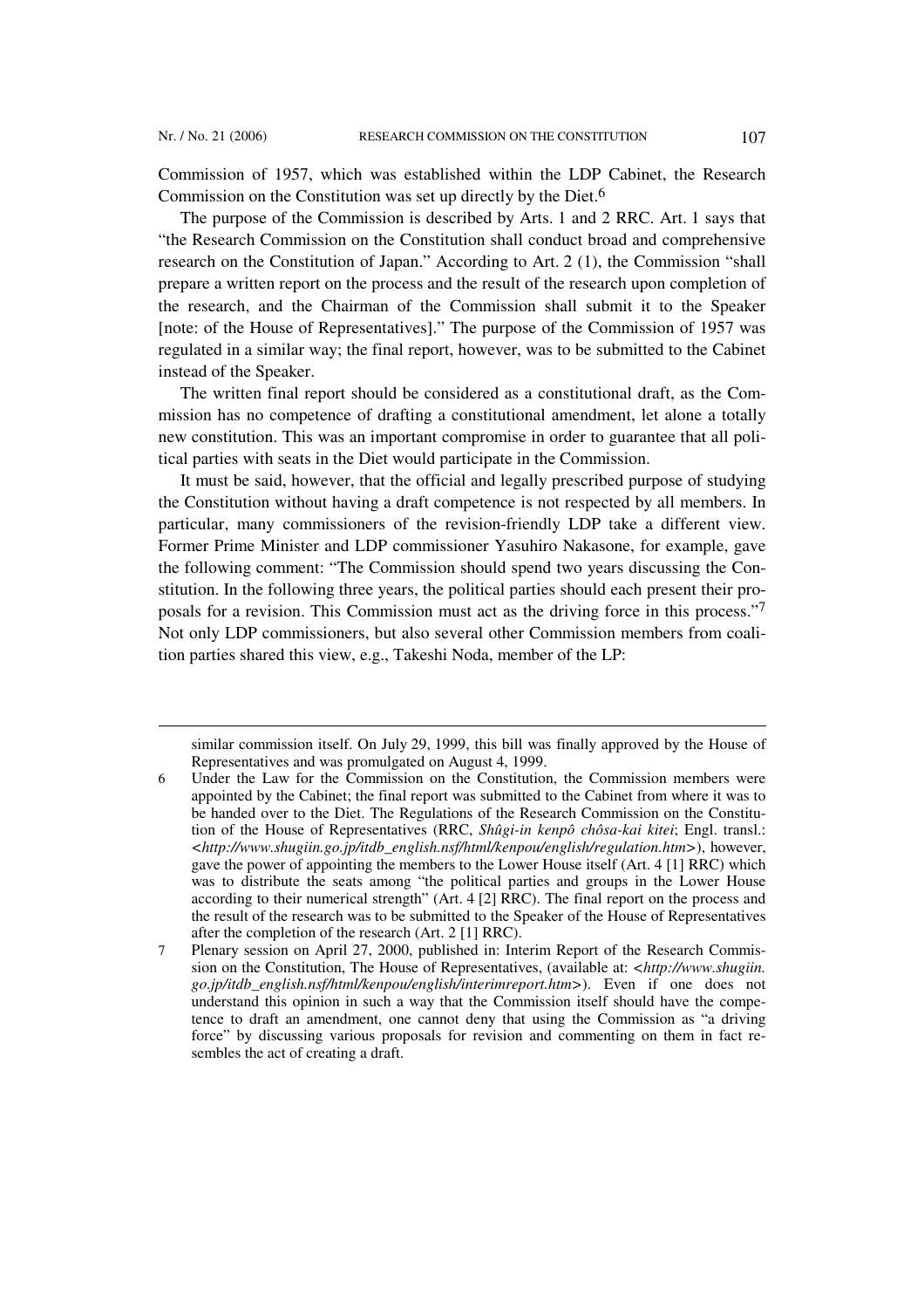$\overline{\phantom{a}}$ 

Commission of 1957, which was established within the LDP Cabinet, the Research Commission on the Constitution was set up directly by the Diet.6

The purpose of the Commission is described by Arts. 1 and 2 RRC. Art. 1 says that "the Research Commission on the Constitution shall conduct broad and comprehensive research on the Constitution of Japan." According to Art. 2 (1), the Commission "shall prepare a written report on the process and the result of the research upon completion of the research, and the Chairman of the Commission shall submit it to the Speaker [note: of the House of Representatives]." The purpose of the Commission of 1957 was regulated in a similar way; the final report, however, was to be submitted to the Cabinet instead of the Speaker.

The written final report should be considered as a constitutional draft, as the Commission has no competence of drafting a constitutional amendment, let alone a totally new constitution. This was an important compromise in order to guarantee that all political parties with seats in the Diet would participate in the Commission.

It must be said, however, that the official and legally prescribed purpose of studying the Constitution without having a draft competence is not respected by all members. In particular, many commissioners of the revision-friendly LDP take a different view. Former Prime Minister and LDP commissioner Yasuhiro Nakasone, for example, gave the following comment: "The Commission should spend two years discussing the Constitution. In the following three years, the political parties should each present their proposals for a revision. This Commission must act as the driving force in this process."7 Not only LDP commissioners, but also several other Commission members from coalition parties shared this view, e.g., Takeshi Noda, member of the LP:

similar commission itself. On July 29, 1999, this bill was finally approved by the House of Representatives and was promulgated on August 4, 1999.

<sup>6</sup> Under the Law for the Commission on the Constitution, the Commission members were appointed by the Cabinet; the final report was submitted to the Cabinet from where it was to be handed over to the Diet. The Regulations of the Research Commission on the Constitution of the House of Representatives (RRC, *Shûgi-in kenpô chôsa-kai kitei*; Engl. transl.: *<http://www.shugiin.go.jp/itdb\_english.nsf/html/kenpou/english/regulation.htm>*), however, gave the power of appointing the members to the Lower House itself (Art. 4 [1] RRC) which was to distribute the seats among "the political parties and groups in the Lower House according to their numerical strength" (Art. 4 [2] RRC). The final report on the process and the result of the research was to be submitted to the Speaker of the House of Representatives after the completion of the research (Art. 2 [1] RRC).

<sup>7</sup> Plenary session on April 27, 2000, published in: Interim Report of the Research Commission on the Constitution, The House of Representatives, (available at: *<http://www.shugiin. go.jp/itdb\_english.nsf/html/kenpou/english/interimreport.htm>*). Even if one does not understand this opinion in such a way that the Commission itself should have the competence to draft an amendment, one cannot deny that using the Commission as "a driving force" by discussing various proposals for revision and commenting on them in fact resembles the act of creating a draft.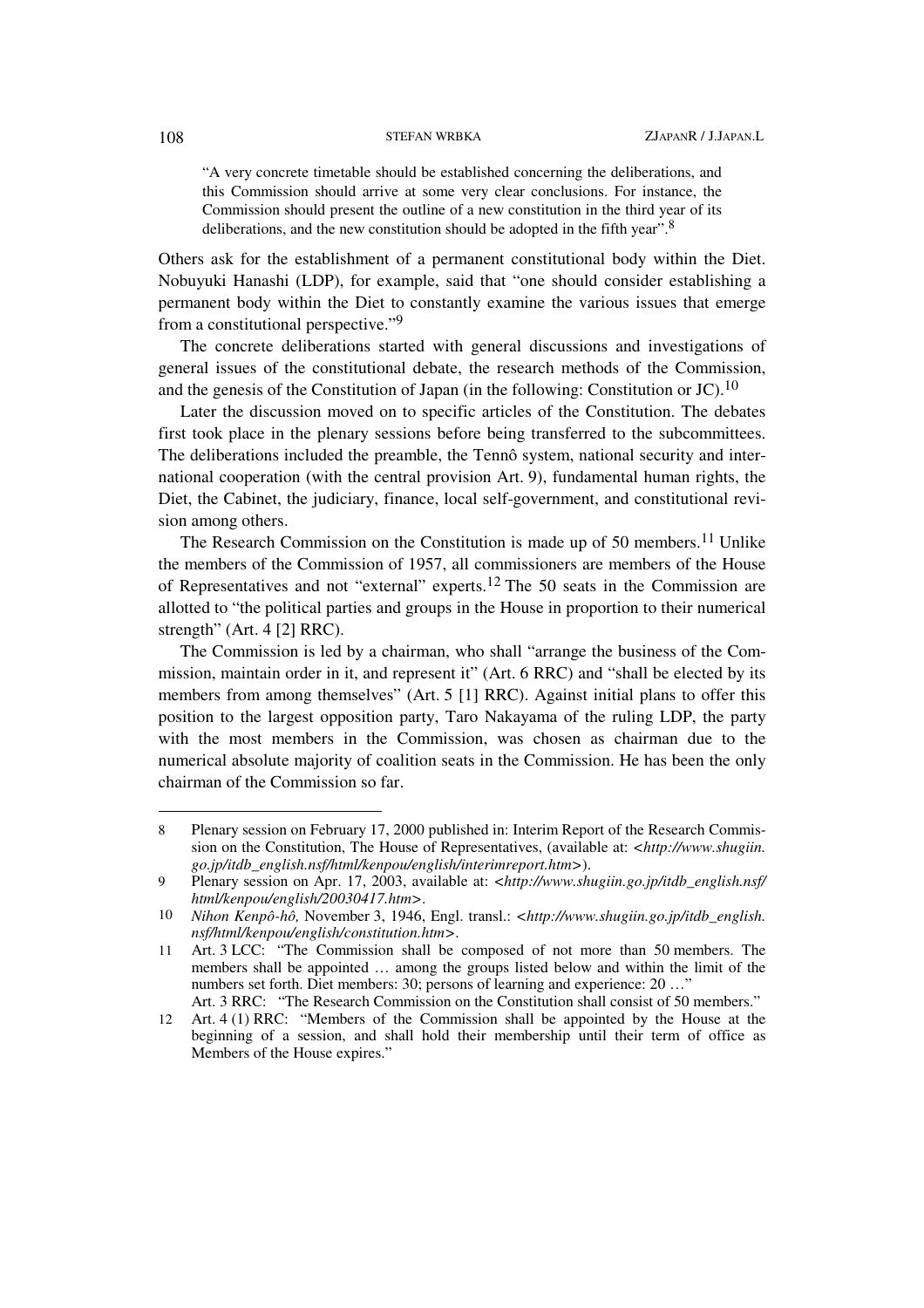"A very concrete timetable should be established concerning the deliberations, and this Commission should arrive at some very clear conclusions. For instance, the Commission should present the outline of a new constitution in the third year of its deliberations, and the new constitution should be adopted in the fifth year".<sup>8</sup>

Others ask for the establishment of a permanent constitutional body within the Diet. Nobuyuki Hanashi (LDP), for example, said that "one should consider establishing a permanent body within the Diet to constantly examine the various issues that emerge from a constitutional perspective."9

The concrete deliberations started with general discussions and investigations of general issues of the constitutional debate, the research methods of the Commission, and the genesis of the Constitution of Japan (in the following: Constitution or JC).<sup>10</sup>

Later the discussion moved on to specific articles of the Constitution. The debates first took place in the plenary sessions before being transferred to the subcommittees. The deliberations included the preamble, the Tennô system, national security and international cooperation (with the central provision Art. 9), fundamental human rights, the Diet, the Cabinet, the judiciary, finance, local self-government, and constitutional revision among others.

The Research Commission on the Constitution is made up of 50 members.<sup>11</sup> Unlike the members of the Commission of 1957, all commissioners are members of the House of Representatives and not "external" experts.12 The 50 seats in the Commission are allotted to "the political parties and groups in the House in proportion to their numerical strength" (Art. 4 [2] RRC).

The Commission is led by a chairman, who shall "arrange the business of the Commission, maintain order in it, and represent it" (Art. 6 RRC) and "shall be elected by its members from among themselves" (Art. 5 [1] RRC). Against initial plans to offer this position to the largest opposition party, Taro Nakayama of the ruling LDP, the party with the most members in the Commission, was chosen as chairman due to the numerical absolute majority of coalition seats in the Commission. He has been the only chairman of the Commission so far.

<sup>8</sup> Plenary session on February 17, 2000 published in: Interim Report of the Research Commission on the Constitution, The House of Representatives, (available at: *<http://www.shugiin. go.jp/itdb\_english.nsf/html/kenpou/english/interimreport.htm>*).

<sup>9</sup> Plenary session on Apr. 17, 2003, available at: *<http://www.shugiin.go.jp/itdb\_english.nsf/ html/kenpou/english/20030417.htm>*.

<sup>10</sup> *Nihon Kenpô-hô,* November 3, 1946, Engl. transl.: *<http://www.shugiin.go.jp/itdb\_english. nsf/html/kenpou/english/constitution.htm>*.

<sup>11</sup> Art. 3 LCC: "The Commission shall be composed of not more than 50 members. The members shall be appointed … among the groups listed below and within the limit of the numbers set forth. Diet members: 30; persons of learning and experience: 20 ... Art. 3 RRC: "The Research Commission on the Constitution shall consist of 50 members."

<sup>12</sup> Art. 4 (1) RRC: "Members of the Commission shall be appointed by the House at the

beginning of a session, and shall hold their membership until their term of office as Members of the House expires."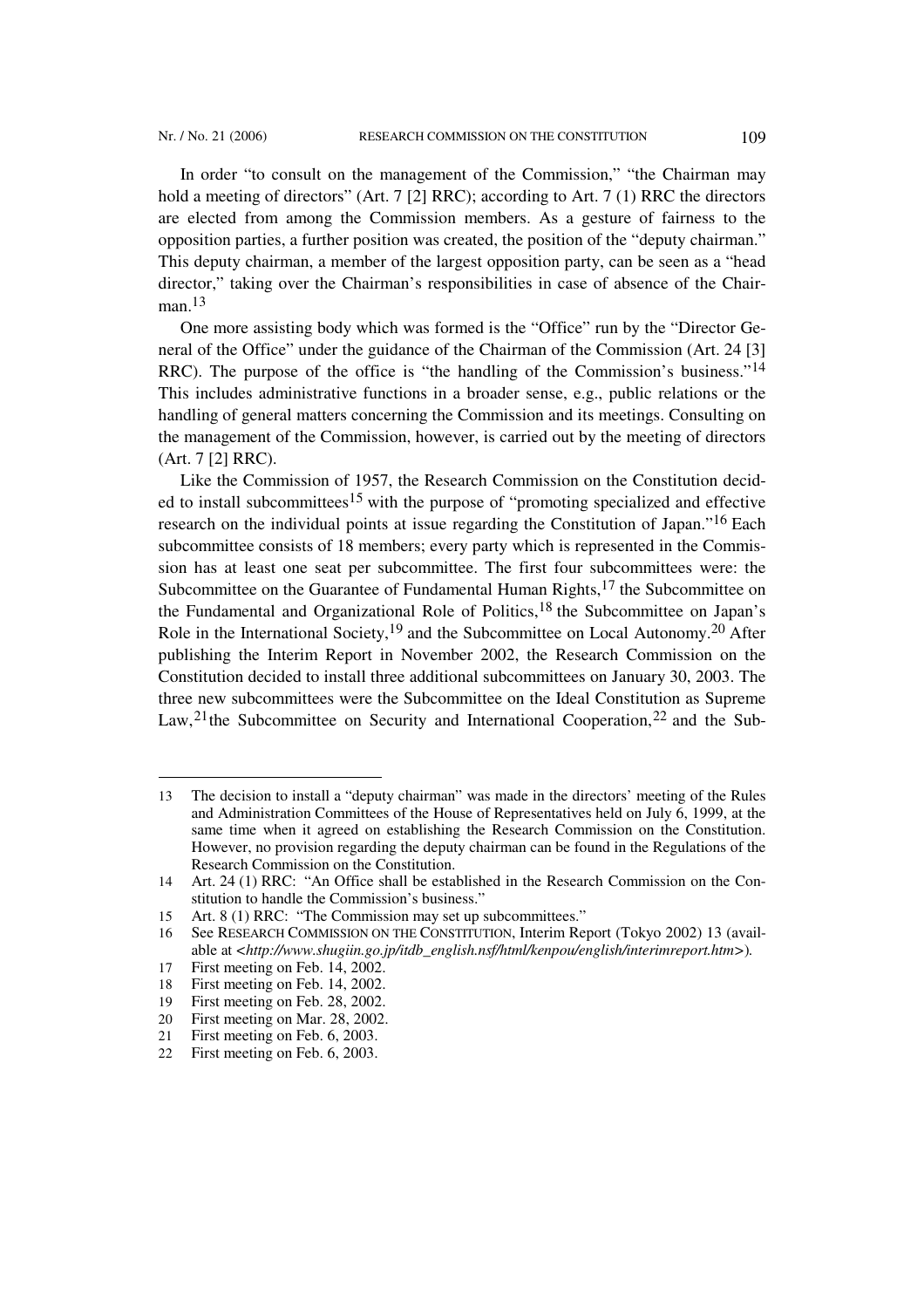In order "to consult on the management of the Commission," "the Chairman may hold a meeting of directors" (Art. 7 [2] RRC); according to Art. 7 (1) RRC the directors are elected from among the Commission members. As a gesture of fairness to the opposition parties, a further position was created, the position of the "deputy chairman." This deputy chairman, a member of the largest opposition party, can be seen as a "head director," taking over the Chairman's responsibilities in case of absence of the Chairman.13

One more assisting body which was formed is the "Office" run by the "Director General of the Office" under the guidance of the Chairman of the Commission (Art. 24 [3] RRC). The purpose of the office is "the handling of the Commission's business."14 This includes administrative functions in a broader sense, e.g., public relations or the handling of general matters concerning the Commission and its meetings. Consulting on the management of the Commission, however, is carried out by the meeting of directors (Art. 7 [2] RRC).

Like the Commission of 1957, the Research Commission on the Constitution decided to install subcommittees<sup>15</sup> with the purpose of "promoting specialized and effective research on the individual points at issue regarding the Constitution of Japan."16 Each subcommittee consists of 18 members; every party which is represented in the Commission has at least one seat per subcommittee. The first four subcommittees were: the Subcommittee on the Guarantee of Fundamental Human Rights, $17$  the Subcommittee on the Fundamental and Organizational Role of Politics, 18 the Subcommittee on Japan's Role in the International Society,19 and the Subcommittee on Local Autonomy.20 After publishing the Interim Report in November 2002, the Research Commission on the Constitution decided to install three additional subcommittees on January 30, 2003. The three new subcommittees were the Subcommittee on the Ideal Constitution as Supreme Law,  $21$ <sup>the</sup> Subcommittee on Security and International Cooperation,  $22$  and the Sub-

<sup>13</sup> The decision to install a "deputy chairman" was made in the directors' meeting of the Rules and Administration Committees of the House of Representatives held on July 6, 1999, at the same time when it agreed on establishing the Research Commission on the Constitution. However, no provision regarding the deputy chairman can be found in the Regulations of the Research Commission on the Constitution.

<sup>14</sup> Art. 24 (1) RRC: "An Office shall be established in the Research Commission on the Constitution to handle the Commission's business."

<sup>15</sup> Art. 8 (1) RRC: "The Commission may set up subcommittees."

<sup>16</sup> See RESEARCH COMMISSION ON THE CONSTITUTION, Interim Report (Tokyo 2002) 13 (available at *<http://www.shugiin.go.jp/itdb\_english.nsf/html/kenpou/english/interimreport.htm>*)*.*

<sup>17</sup> First meeting on Feb. 14, 2002.

<sup>18</sup> First meeting on Feb. 14, 2002.

<sup>19</sup> First meeting on Feb. 28, 2002.

<sup>20</sup> First meeting on Mar. 28, 2002.

<sup>21</sup> First meeting on Feb. 6, 2003.

<sup>22</sup> First meeting on Feb. 6, 2003.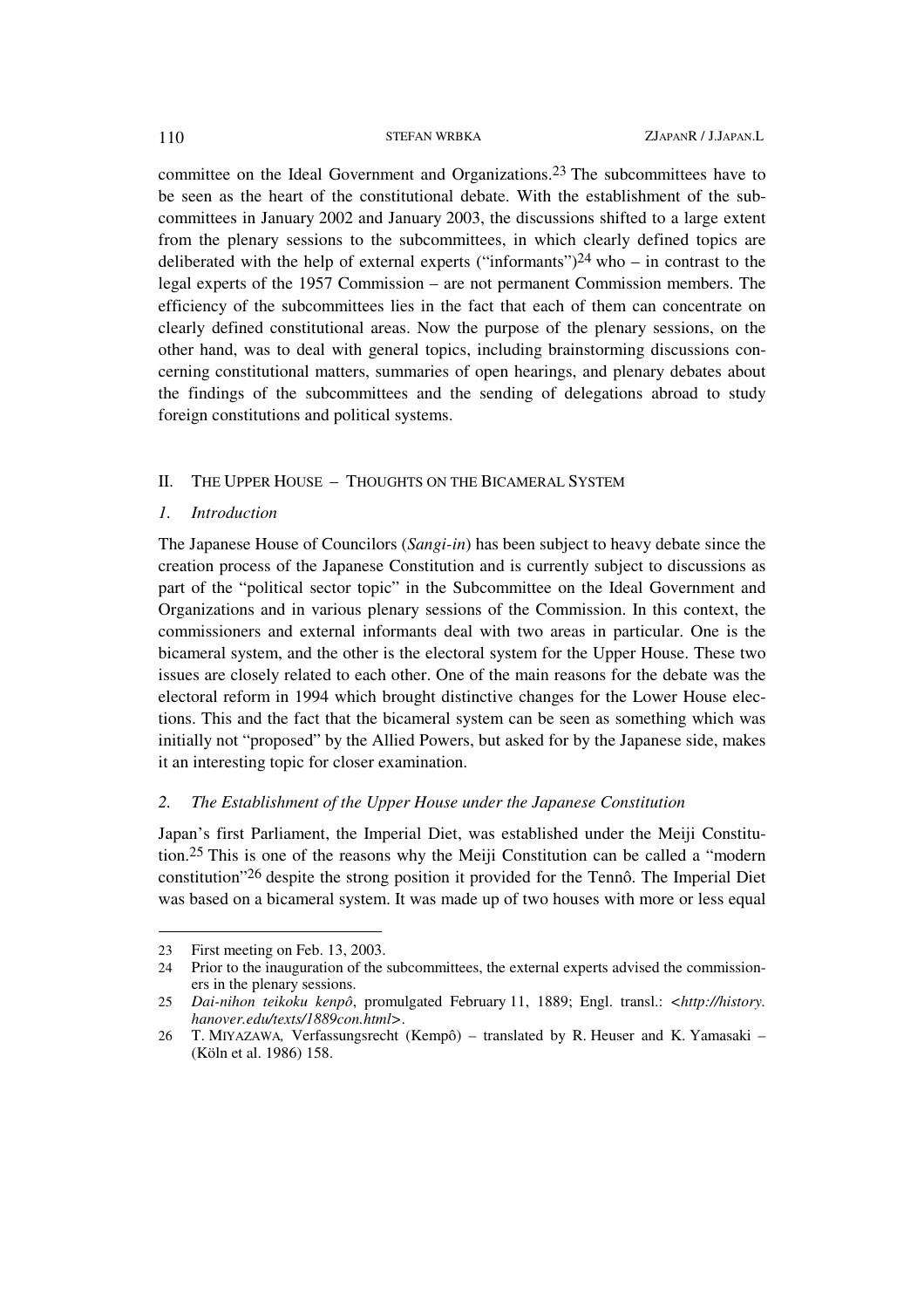committee on the Ideal Government and Organizations. 23 The subcommittees have to be seen as the heart of the constitutional debate. With the establishment of the subcommittees in January 2002 and January 2003, the discussions shifted to a large extent from the plenary sessions to the subcommittees, in which clearly defined topics are deliberated with the help of external experts ("informants")<sup>24</sup> who – in contrast to the legal experts of the 1957 Commission – are not permanent Commission members. The efficiency of the subcommittees lies in the fact that each of them can concentrate on clearly defined constitutional areas. Now the purpose of the plenary sessions, on the other hand, was to deal with general topics, including brainstorming discussions concerning constitutional matters, summaries of open hearings, and plenary debates about the findings of the subcommittees and the sending of delegations abroad to study foreign constitutions and political systems.

## II. THE UPPER HOUSE – THOUGHTS ON THE BICAMERAL SYSTEM

### *1. Introduction*

The Japanese House of Councilors (*Sangi-in*) has been subject to heavy debate since the creation process of the Japanese Constitution and is currently subject to discussions as part of the "political sector topic" in the Subcommittee on the Ideal Government and Organizations and in various plenary sessions of the Commission. In this context, the commissioners and external informants deal with two areas in particular. One is the bicameral system, and the other is the electoral system for the Upper House. These two issues are closely related to each other. One of the main reasons for the debate was the electoral reform in 1994 which brought distinctive changes for the Lower House elections. This and the fact that the bicameral system can be seen as something which was initially not "proposed" by the Allied Powers, but asked for by the Japanese side, makes it an interesting topic for closer examination.

### *2. The Establishment of the Upper House under the Japanese Constitution*

Japan's first Parliament, the Imperial Diet, was established under the Meiji Constitution.25 This is one of the reasons why the Meiji Constitution can be called a "modern constitution"26 despite the strong position it provided for the Tennô. The Imperial Diet was based on a bicameral system. It was made up of two houses with more or less equal

<sup>23</sup> First meeting on Feb. 13, 2003.

<sup>24</sup> Prior to the inauguration of the subcommittees, the external experts advised the commissioners in the plenary sessions.

<sup>25</sup> *Dai-nihon teikoku kenpô*, promulgated February 11, 1889; Engl. transl.: *<http://history. hanover.edu/texts/1889con.html>*.

<sup>26</sup> T. MIYAZAWA*,* Verfassungsrecht (Kempô) – translated by R. Heuser and K. Yamasaki – (Köln et al. 1986) 158.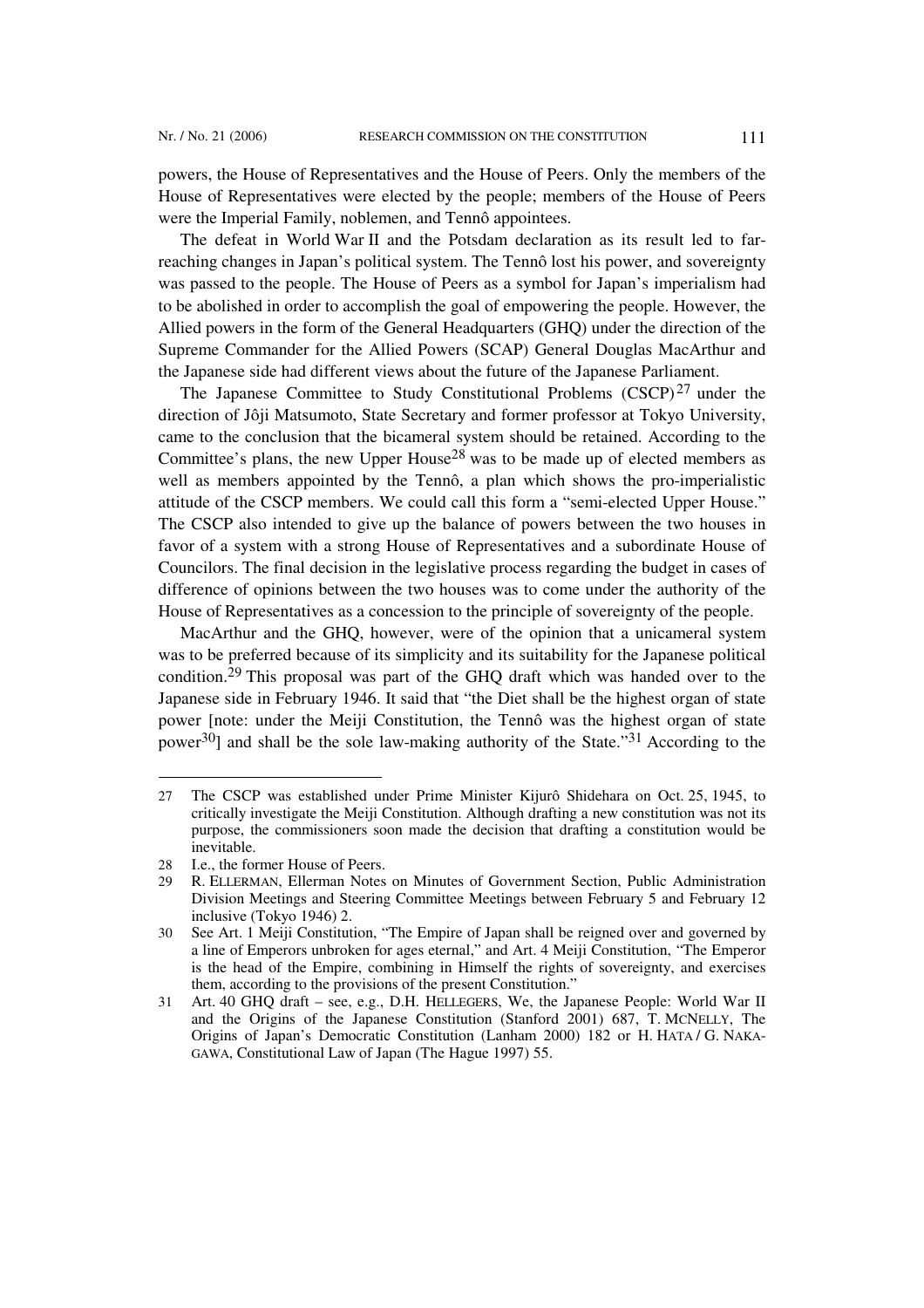powers, the House of Representatives and the House of Peers. Only the members of the House of Representatives were elected by the people; members of the House of Peers were the Imperial Family, noblemen, and Tennô appointees.

The defeat in World War II and the Potsdam declaration as its result led to farreaching changes in Japan's political system. The Tennô lost his power, and sovereignty was passed to the people. The House of Peers as a symbol for Japan's imperialism had to be abolished in order to accomplish the goal of empowering the people. However, the Allied powers in the form of the General Headquarters (GHQ) under the direction of the Supreme Commander for the Allied Powers (SCAP) General Douglas MacArthur and the Japanese side had different views about the future of the Japanese Parliament.

The Japanese Committee to Study Constitutional Problems (CSCP)<sup>27</sup> under the direction of Jôji Matsumoto, State Secretary and former professor at Tokyo University, came to the conclusion that the bicameral system should be retained. According to the Committee's plans, the new Upper House28 was to be made up of elected members as well as members appointed by the Tennô, a plan which shows the pro-imperialistic attitude of the CSCP members. We could call this form a "semi-elected Upper House." The CSCP also intended to give up the balance of powers between the two houses in favor of a system with a strong House of Representatives and a subordinate House of Councilors. The final decision in the legislative process regarding the budget in cases of difference of opinions between the two houses was to come under the authority of the House of Representatives as a concession to the principle of sovereignty of the people.

MacArthur and the GHQ, however, were of the opinion that a unicameral system was to be preferred because of its simplicity and its suitability for the Japanese political condition.29 This proposal was part of the GHQ draft which was handed over to the Japanese side in February 1946. It said that "the Diet shall be the highest organ of state power [note: under the Meiji Constitution, the Tennô was the highest organ of state power<sup>30</sup>] and shall be the sole law-making authority of the State."<sup>31</sup> According to the

<sup>27</sup> The CSCP was established under Prime Minister Kijurô Shidehara on Oct. 25, 1945, to critically investigate the Meiji Constitution. Although drafting a new constitution was not its purpose, the commissioners soon made the decision that drafting a constitution would be inevitable.

<sup>28</sup> I.e., the former House of Peers.

<sup>29</sup> R. ELLERMAN, Ellerman Notes on Minutes of Government Section, Public Administration Division Meetings and Steering Committee Meetings between February 5 and February 12 inclusive (Tokyo 1946) 2.

<sup>30</sup> See Art. 1 Meiji Constitution, "The Empire of Japan shall be reigned over and governed by a line of Emperors unbroken for ages eternal," and Art. 4 Meiji Constitution, "The Emperor is the head of the Empire, combining in Himself the rights of sovereignty, and exercises them, according to the provisions of the present Constitution."

<sup>31</sup> Art. 40 GHQ draft – see, e.g., D.H. HELLEGERS, We, the Japanese People: World War II and the Origins of the Japanese Constitution (Stanford 2001) 687, T. MCNELLY, The Origins of Japan's Democratic Constitution (Lanham 2000) 182 or H. HATA / G. NAKA-GAWA, Constitutional Law of Japan (The Hague 1997) 55.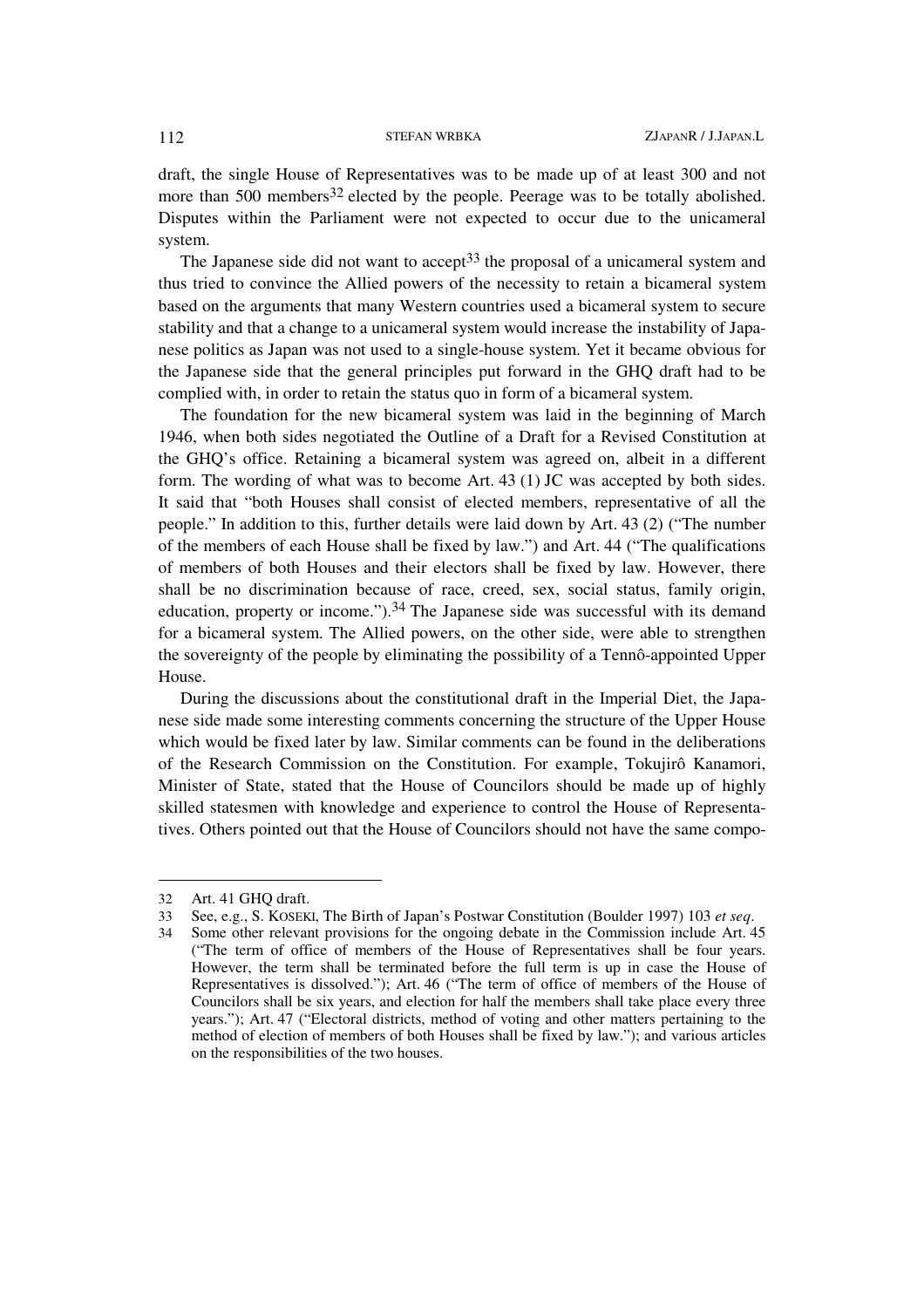draft, the single House of Representatives was to be made up of at least 300 and not more than 500 members<sup>32</sup> elected by the people. Peerage was to be totally abolished. Disputes within the Parliament were not expected to occur due to the unicameral system.

The Japanese side did not want to accept<sup>33</sup> the proposal of a unicameral system and thus tried to convince the Allied powers of the necessity to retain a bicameral system based on the arguments that many Western countries used a bicameral system to secure stability and that a change to a unicameral system would increase the instability of Japanese politics as Japan was not used to a single-house system. Yet it became obvious for the Japanese side that the general principles put forward in the GHQ draft had to be complied with, in order to retain the status quo in form of a bicameral system.

The foundation for the new bicameral system was laid in the beginning of March 1946, when both sides negotiated the Outline of a Draft for a Revised Constitution at the GHQ's office. Retaining a bicameral system was agreed on, albeit in a different form. The wording of what was to become Art. 43 (1) JC was accepted by both sides. It said that "both Houses shall consist of elected members, representative of all the people." In addition to this, further details were laid down by Art. 43 (2) ("The number of the members of each House shall be fixed by law.") and Art. 44 ("The qualifications of members of both Houses and their electors shall be fixed by law. However, there shall be no discrimination because of race, creed, sex, social status, family origin, education, property or income.").34 The Japanese side was successful with its demand for a bicameral system. The Allied powers, on the other side, were able to strengthen the sovereignty of the people by eliminating the possibility of a Tennô-appointed Upper House.

During the discussions about the constitutional draft in the Imperial Diet, the Japanese side made some interesting comments concerning the structure of the Upper House which would be fixed later by law. Similar comments can be found in the deliberations of the Research Commission on the Constitution. For example, Tokujirô Kanamori, Minister of State, stated that the House of Councilors should be made up of highly skilled statesmen with knowledge and experience to control the House of Representatives. Others pointed out that the House of Councilors should not have the same compo-

 $\overline{\phantom{a}}$ 

<sup>32</sup> Art. 41 GHQ draft.

<sup>33</sup> See, e.g., S. KOSEKI, The Birth of Japan's Postwar Constitution (Boulder 1997) 103 *et seq*.

<sup>34</sup> Some other relevant provisions for the ongoing debate in the Commission include Art. 45 ("The term of office of members of the House of Representatives shall be four years. However, the term shall be terminated before the full term is up in case the House of Representatives is dissolved."); Art. 46 ("The term of office of members of the House of Councilors shall be six years, and election for half the members shall take place every three years."); Art. 47 ("Electoral districts, method of voting and other matters pertaining to the method of election of members of both Houses shall be fixed by law."); and various articles on the responsibilities of the two houses.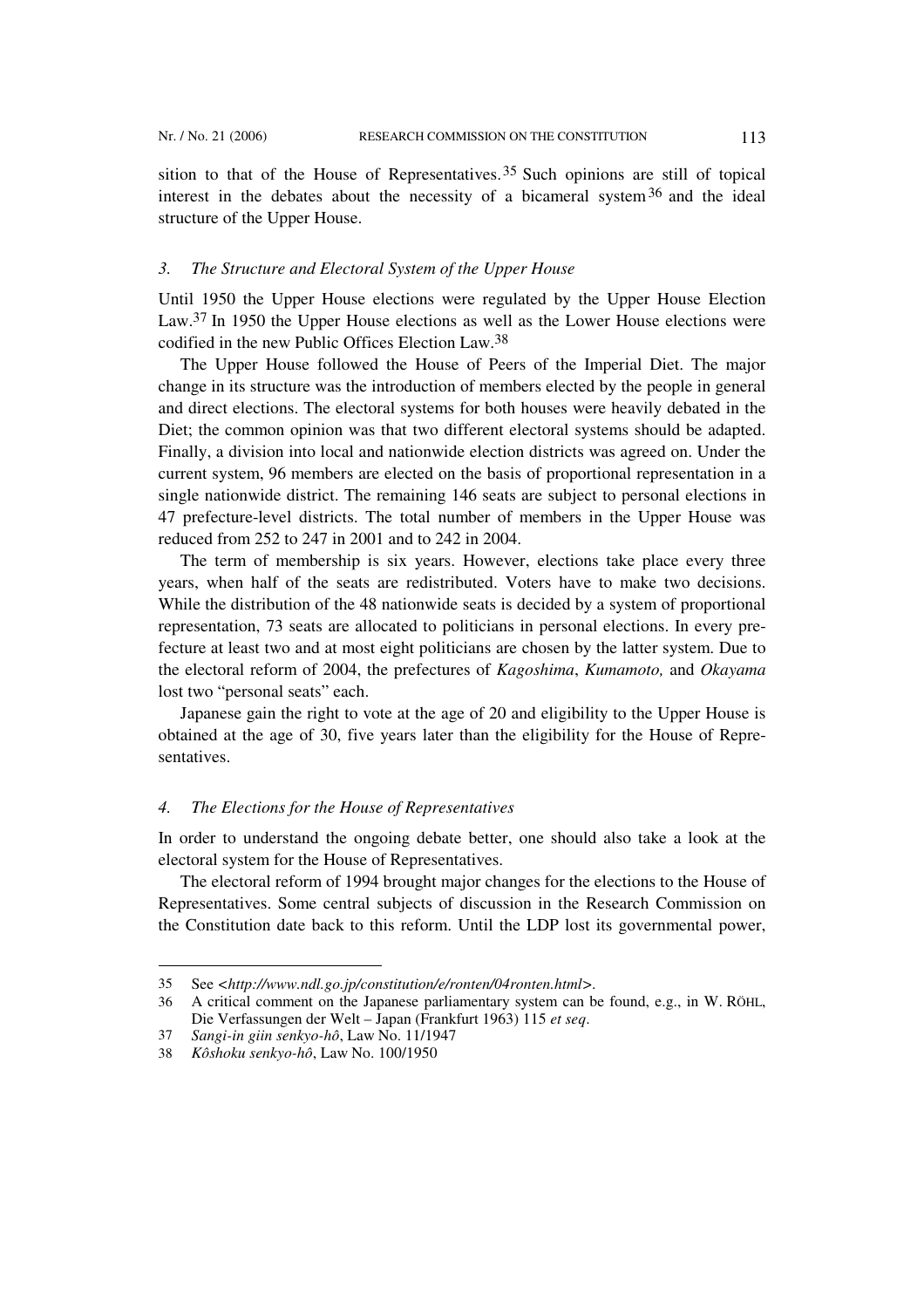sition to that of the House of Representatives.<sup>35</sup> Such opinions are still of topical interest in the debates about the necessity of a bicameral system  $36$  and the ideal structure of the Upper House.

## *3. The Structure and Electoral System of the Upper House*

Until 1950 the Upper House elections were regulated by the Upper House Election Law.<sup>37</sup> In 1950 the Upper House elections as well as the Lower House elections were codified in the new Public Offices Election Law.38

The Upper House followed the House of Peers of the Imperial Diet. The major change in its structure was the introduction of members elected by the people in general and direct elections. The electoral systems for both houses were heavily debated in the Diet; the common opinion was that two different electoral systems should be adapted. Finally, a division into local and nationwide election districts was agreed on. Under the current system, 96 members are elected on the basis of proportional representation in a single nationwide district. The remaining 146 seats are subject to personal elections in 47 prefecture-level districts. The total number of members in the Upper House was reduced from 252 to 247 in 2001 and to 242 in 2004.

The term of membership is six years. However, elections take place every three years, when half of the seats are redistributed. Voters have to make two decisions. While the distribution of the 48 nationwide seats is decided by a system of proportional representation, 73 seats are allocated to politicians in personal elections. In every prefecture at least two and at most eight politicians are chosen by the latter system. Due to the electoral reform of 2004, the prefectures of *Kagoshima*, *Kumamoto,* and *Okayama* lost two "personal seats" each.

Japanese gain the right to vote at the age of 20 and eligibility to the Upper House is obtained at the age of 30, five years later than the eligibility for the House of Representatives.

### *4. The Elections for the House of Representatives*

In order to understand the ongoing debate better, one should also take a look at the electoral system for the House of Representatives.

The electoral reform of 1994 brought major changes for the elections to the House of Representatives. Some central subjects of discussion in the Research Commission on the Constitution date back to this reform. Until the LDP lost its governmental power,

<sup>35</sup> See *<http://www.ndl.go.jp/constitution/e/ronten/04ronten.html>.* 

<sup>36</sup> A critical comment on the Japanese parliamentary system can be found, e.g., in W. RÖHL, Die Verfassungen der Welt – Japan (Frankfurt 1963) 115 *et seq*.

<sup>37</sup> *Sangi-in giin senkyo-hô*, Law No. 11/1947

<sup>38</sup> *Kôshoku senkyo-hô*, Law No. 100/1950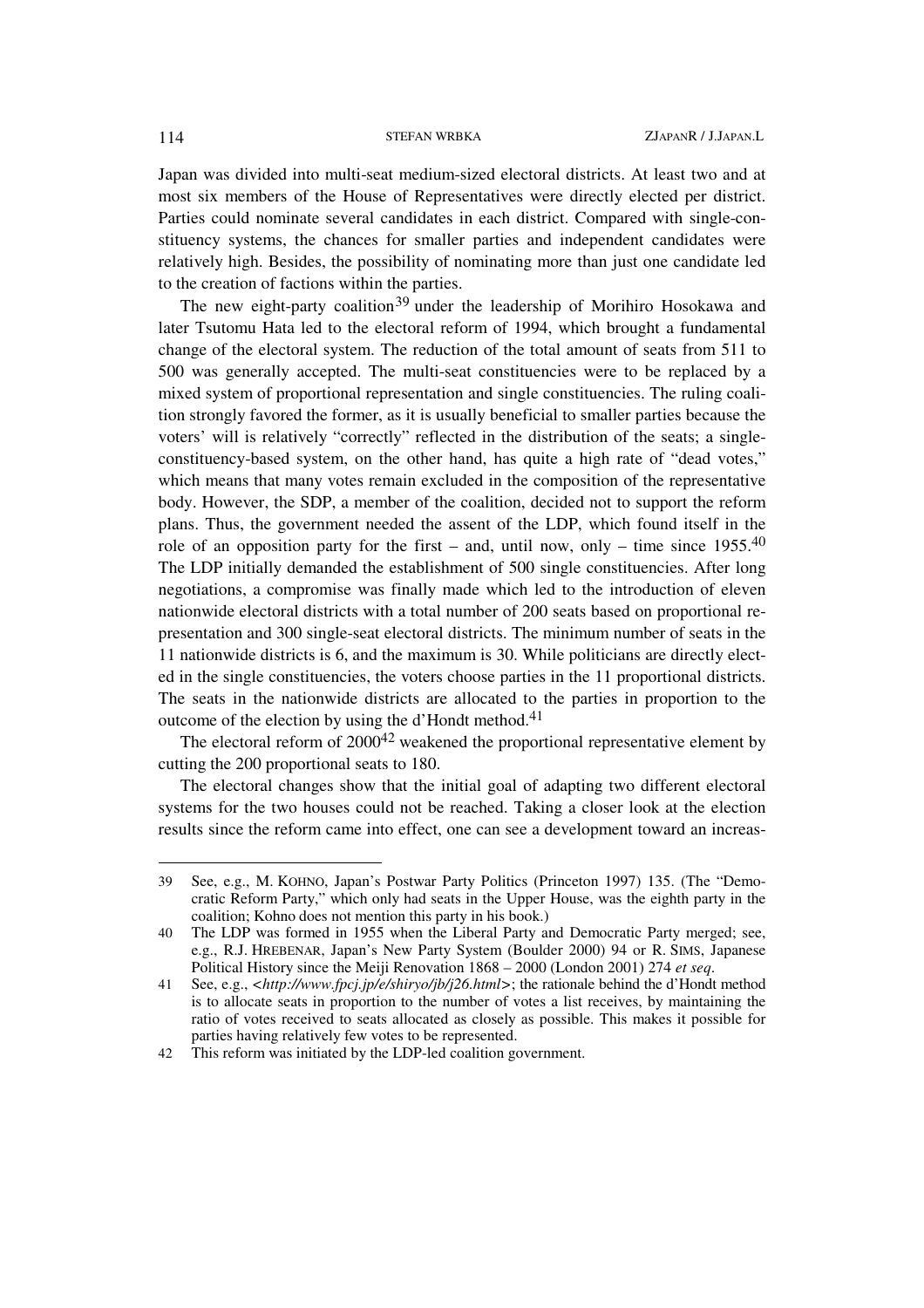Japan was divided into multi-seat medium-sized electoral districts. At least two and at most six members of the House of Representatives were directly elected per district. Parties could nominate several candidates in each district. Compared with single-constituency systems, the chances for smaller parties and independent candidates were relatively high. Besides, the possibility of nominating more than just one candidate led to the creation of factions within the parties.

The new eight-party coalition<sup>39</sup> under the leadership of Morihiro Hosokawa and later Tsutomu Hata led to the electoral reform of 1994, which brought a fundamental change of the electoral system. The reduction of the total amount of seats from 511 to 500 was generally accepted. The multi-seat constituencies were to be replaced by a mixed system of proportional representation and single constituencies. The ruling coalition strongly favored the former, as it is usually beneficial to smaller parties because the voters' will is relatively "correctly" reflected in the distribution of the seats; a singleconstituency-based system, on the other hand, has quite a high rate of "dead votes," which means that many votes remain excluded in the composition of the representative body. However, the SDP, a member of the coalition, decided not to support the reform plans. Thus, the government needed the assent of the LDP, which found itself in the role of an opposition party for the first – and, until now, only – time since  $1955^{40}$ The LDP initially demanded the establishment of 500 single constituencies. After long negotiations, a compromise was finally made which led to the introduction of eleven nationwide electoral districts with a total number of 200 seats based on proportional representation and 300 single-seat electoral districts. The minimum number of seats in the 11 nationwide districts is 6, and the maximum is 30. While politicians are directly elected in the single constituencies, the voters choose parties in the 11 proportional districts. The seats in the nationwide districts are allocated to the parties in proportion to the outcome of the election by using the d'Hondt method.<sup>41</sup>

The electoral reform of  $2000^{42}$  weakened the proportional representative element by cutting the 200 proportional seats to 180.

The electoral changes show that the initial goal of adapting two different electoral systems for the two houses could not be reached. Taking a closer look at the election results since the reform came into effect, one can see a development toward an increas-

<sup>39</sup> See, e.g., M. KOHNO, Japan's Postwar Party Politics (Princeton 1997) 135. (The "Democratic Reform Party," which only had seats in the Upper House, was the eighth party in the coalition; Kohno does not mention this party in his book.)

<sup>40</sup> The LDP was formed in 1955 when the Liberal Party and Democratic Party merged; see, e.g., R.J. HREBENAR, Japan's New Party System (Boulder 2000) 94 or R. SIMS, Japanese Political History since the Meiji Renovation 1868 – 2000 (London 2001) 274 *et seq*.

<sup>41</sup> See, e.g., *<http://www.fpcj.jp/e/shiryo/jb/j26.html>*; the rationale behind the d'Hondt method is to allocate seats in proportion to the number of votes a list receives, by maintaining the ratio of votes received to seats allocated as closely as possible. This makes it possible for parties having relatively few votes to be represented.

<sup>42</sup> This reform was initiated by the LDP-led coalition government.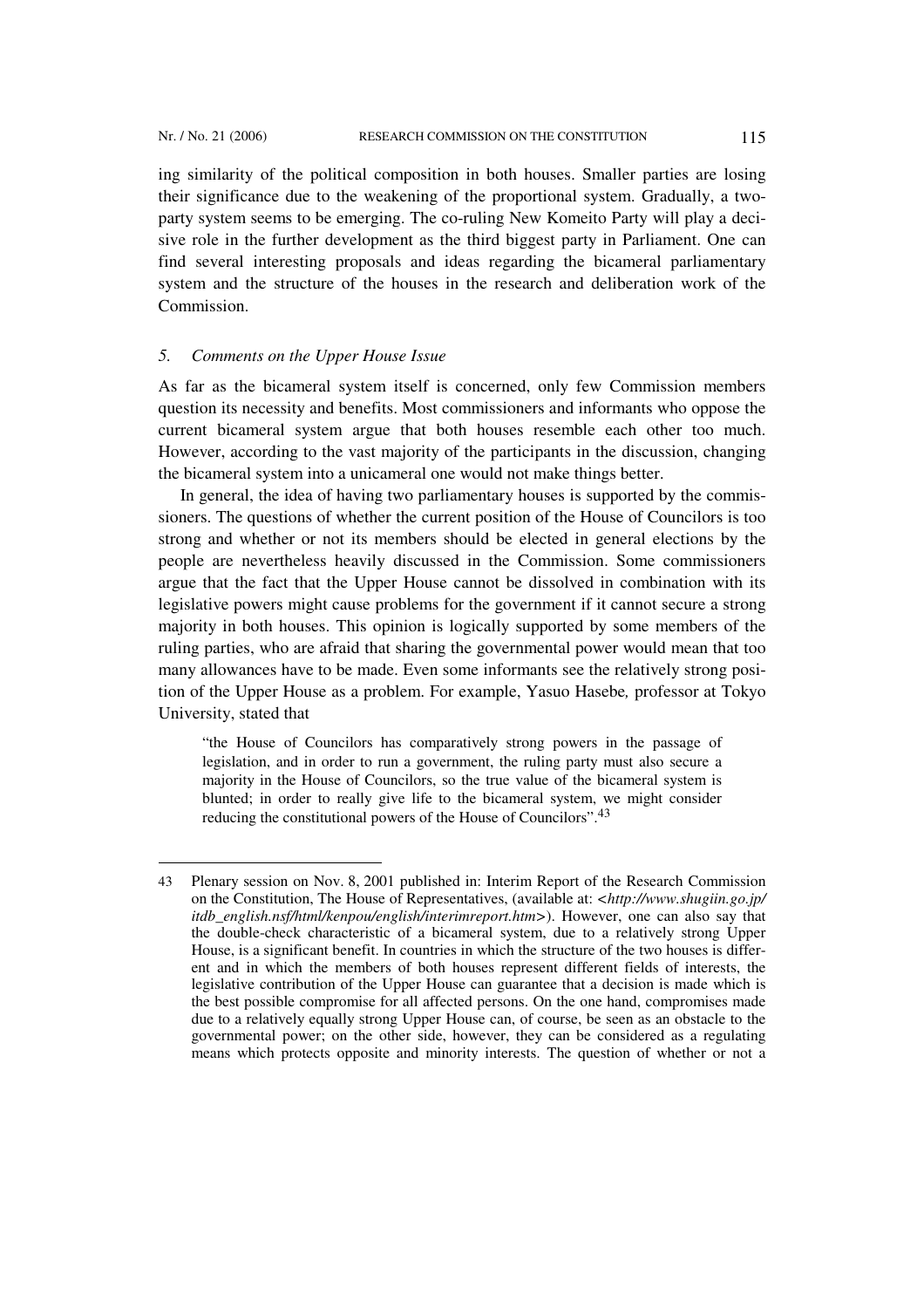l

ing similarity of the political composition in both houses. Smaller parties are losing their significance due to the weakening of the proportional system. Gradually, a twoparty system seems to be emerging. The co-ruling New Komeito Party will play a decisive role in the further development as the third biggest party in Parliament. One can find several interesting proposals and ideas regarding the bicameral parliamentary system and the structure of the houses in the research and deliberation work of the Commission.

### *5. Comments on the Upper House Issue*

As far as the bicameral system itself is concerned, only few Commission members question its necessity and benefits. Most commissioners and informants who oppose the current bicameral system argue that both houses resemble each other too much. However, according to the vast majority of the participants in the discussion, changing the bicameral system into a unicameral one would not make things better.

In general, the idea of having two parliamentary houses is supported by the commissioners. The questions of whether the current position of the House of Councilors is too strong and whether or not its members should be elected in general elections by the people are nevertheless heavily discussed in the Commission. Some commissioners argue that the fact that the Upper House cannot be dissolved in combination with its legislative powers might cause problems for the government if it cannot secure a strong majority in both houses. This opinion is logically supported by some members of the ruling parties, who are afraid that sharing the governmental power would mean that too many allowances have to be made. Even some informants see the relatively strong position of the Upper House as a problem. For example, Yasuo Hasebe*,* professor at Tokyo University, stated that

"the House of Councilors has comparatively strong powers in the passage of legislation, and in order to run a government, the ruling party must also secure a majority in the House of Councilors, so the true value of the bicameral system is blunted; in order to really give life to the bicameral system, we might consider reducing the constitutional powers of the House of Councilors".43

<sup>43</sup> Plenary session on Nov. 8, 2001 published in: Interim Report of the Research Commission on the Constitution, The House of Representatives, (available at: *<http://www.shugiin.go.jp/ itdb* english.nsf/html/kenpou/english/interimreport.htm>). However, one can also say that the double-check characteristic of a bicameral system, due to a relatively strong Upper House, is a significant benefit. In countries in which the structure of the two houses is different and in which the members of both houses represent different fields of interests, the legislative contribution of the Upper House can guarantee that a decision is made which is the best possible compromise for all affected persons. On the one hand, compromises made due to a relatively equally strong Upper House can, of course, be seen as an obstacle to the governmental power; on the other side, however, they can be considered as a regulating means which protects opposite and minority interests. The question of whether or not a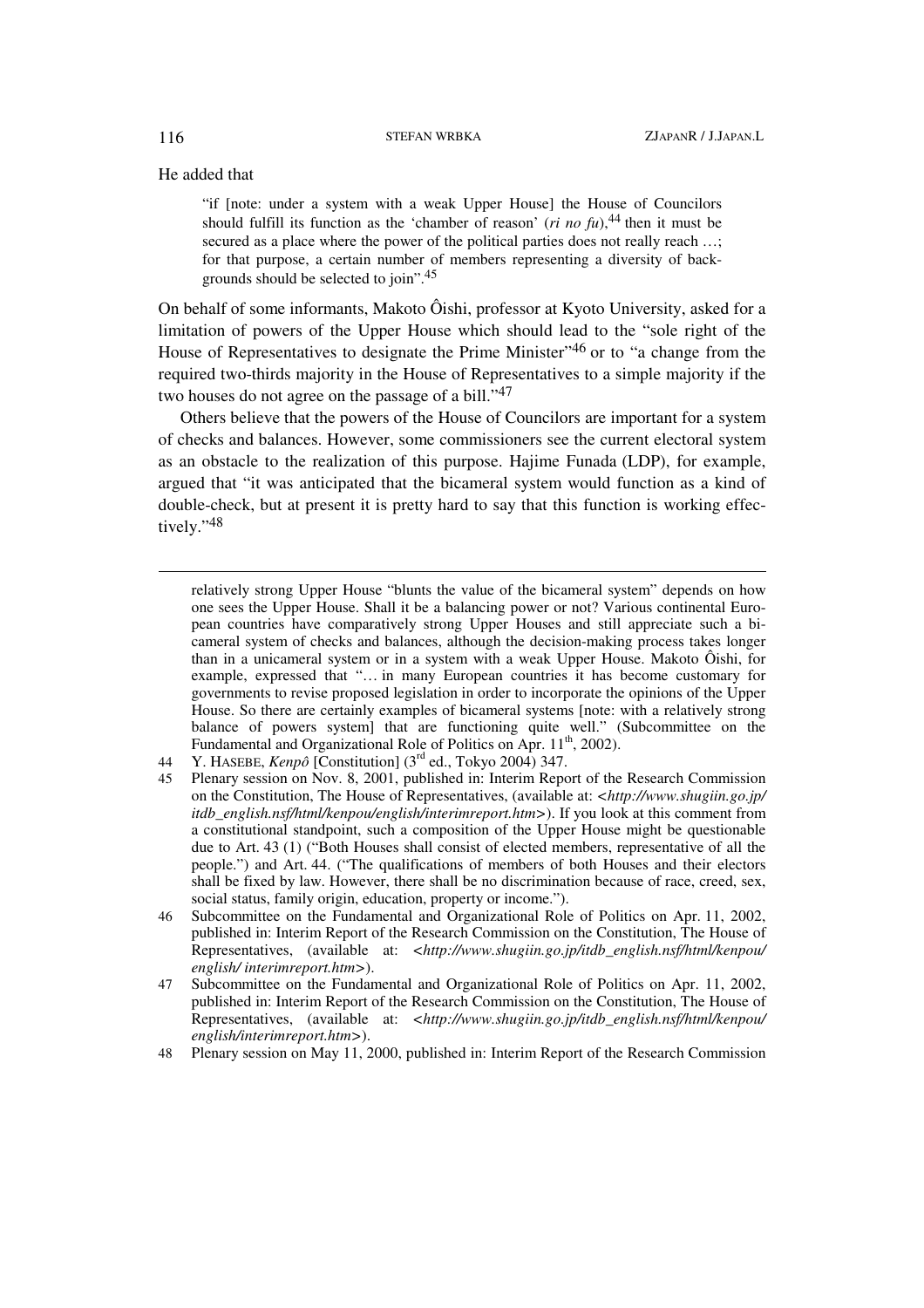He added that

"if [note: under a system with a weak Upper House] the House of Councilors should fulfill its function as the 'chamber of reason' ( $ri$  *no fu*),<sup>44</sup> then it must be secured as a place where the power of the political parties does not really reach ...: for that purpose, a certain number of members representing a diversity of backgrounds should be selected to join".45

On behalf of some informants, Makoto Ôishi, professor at Kyoto University, asked for a limitation of powers of the Upper House which should lead to the "sole right of the House of Representatives to designate the Prime Minister"46 or to "a change from the required two-thirds majority in the House of Representatives to a simple majority if the two houses do not agree on the passage of a bill."47

Others believe that the powers of the House of Councilors are important for a system of checks and balances. However, some commissioners see the current electoral system as an obstacle to the realization of this purpose. Hajime Funada (LDP), for example, argued that "it was anticipated that the bicameral system would function as a kind of double-check, but at present it is pretty hard to say that this function is working effectively."48

relatively strong Upper House "blunts the value of the bicameral system" depends on how one sees the Upper House. Shall it be a balancing power or not? Various continental European countries have comparatively strong Upper Houses and still appreciate such a bicameral system of checks and balances, although the decision-making process takes longer than in a unicameral system or in a system with a weak Upper House. Makoto Ôishi, for example, expressed that "… in many European countries it has become customary for governments to revise proposed legislation in order to incorporate the opinions of the Upper House. So there are certainly examples of bicameral systems [note: with a relatively strong balance of powers system] that are functioning quite well." (Subcommittee on the Fundamental and Organizational Role of Politics on Apr. 11<sup>th</sup>, 2002).

 $\overline{\phantom{a}}$ 

<sup>44</sup> Y. HASEBE, *Kenpô* [Constitution] (3rd ed., Tokyo 2004) 347.

<sup>45</sup> Plenary session on Nov. 8, 2001, published in: Interim Report of the Research Commission on the Constitution, The House of Representatives, (available at: *<http://www.shugiin.go.jp/ itdb\_english.nsf/html/kenpou/english/interimreport.htm>*). If you look at this comment from a constitutional standpoint, such a composition of the Upper House might be questionable due to Art. 43 (1) ("Both Houses shall consist of elected members, representative of all the people.") and Art. 44. ("The qualifications of members of both Houses and their electors shall be fixed by law. However, there shall be no discrimination because of race, creed, sex, social status, family origin, education, property or income.").

<sup>46</sup> Subcommittee on the Fundamental and Organizational Role of Politics on Apr. 11, 2002, published in: Interim Report of the Research Commission on the Constitution, The House of Representatives, (available at: *<http://www.shugiin.go.jp/itdb\_english.nsf/html/kenpou/ english/ interimreport.htm>*).

<sup>47</sup> Subcommittee on the Fundamental and Organizational Role of Politics on Apr. 11, 2002, published in: Interim Report of the Research Commission on the Constitution, The House of Representatives, (available at: *<http://www.shugiin.go.jp/itdb\_english.nsf/html/kenpou/ english/interimreport.htm>*).

<sup>48</sup> Plenary session on May 11, 2000, published in: Interim Report of the Research Commission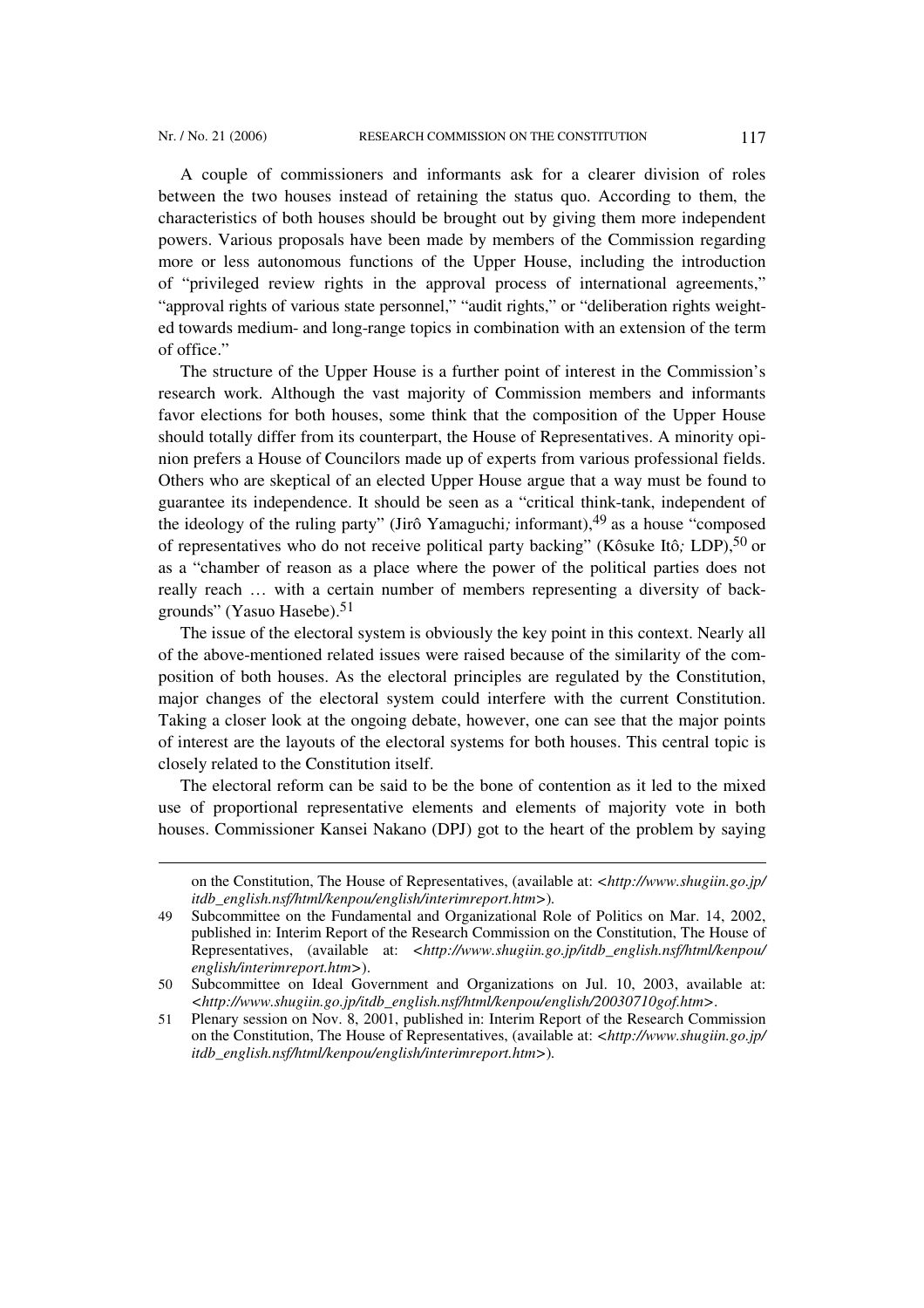l

A couple of commissioners and informants ask for a clearer division of roles between the two houses instead of retaining the status quo. According to them, the characteristics of both houses should be brought out by giving them more independent powers. Various proposals have been made by members of the Commission regarding more or less autonomous functions of the Upper House, including the introduction of "privileged review rights in the approval process of international agreements," "approval rights of various state personnel," "audit rights," or "deliberation rights weighted towards medium- and long-range topics in combination with an extension of the term of office."

The structure of the Upper House is a further point of interest in the Commission's research work. Although the vast majority of Commission members and informants favor elections for both houses, some think that the composition of the Upper House should totally differ from its counterpart, the House of Representatives. A minority opinion prefers a House of Councilors made up of experts from various professional fields. Others who are skeptical of an elected Upper House argue that a way must be found to guarantee its independence. It should be seen as a "critical think-tank, independent of the ideology of the ruling party" (Jirô Yamaguchi; informant),<sup>49</sup> as a house "composed of representatives who do not receive political party backing" (Kôsuke Itô*;* LDP),50 or as a "chamber of reason as a place where the power of the political parties does not really reach … with a certain number of members representing a diversity of backgrounds" (Yasuo Hasebe).51

The issue of the electoral system is obviously the key point in this context. Nearly all of the above-mentioned related issues were raised because of the similarity of the composition of both houses. As the electoral principles are regulated by the Constitution, major changes of the electoral system could interfere with the current Constitution. Taking a closer look at the ongoing debate, however, one can see that the major points of interest are the layouts of the electoral systems for both houses. This central topic is closely related to the Constitution itself.

The electoral reform can be said to be the bone of contention as it led to the mixed use of proportional representative elements and elements of majority vote in both houses. Commissioner Kansei Nakano (DPJ) got to the heart of the problem by saying

on the Constitution, The House of Representatives, (available at: *<http://www.shugiin.go.jp/ itdb\_english.nsf/html/kenpou/english/interimreport.htm>*)*.*

<sup>49</sup> Subcommittee on the Fundamental and Organizational Role of Politics on Mar. 14, 2002, published in: Interim Report of the Research Commission on the Constitution, The House of Representatives, (available at: *<http://www.shugiin.go.jp/itdb\_english.nsf/html/kenpou/ english/interimreport.htm>*).

<sup>50</sup> Subcommittee on Ideal Government and Organizations on Jul. 10, 2003, available at: *<http://www.shugiin.go.jp/itdb\_english.nsf/html/kenpou/english/20030710gof.htm>*.

<sup>51</sup> Plenary session on Nov. 8, 2001, published in: Interim Report of the Research Commission on the Constitution, The House of Representatives, (available at: *<http://www.shugiin.go.jp/ itdb\_english.nsf/html/kenpou/english/interimreport.htm>*)*.*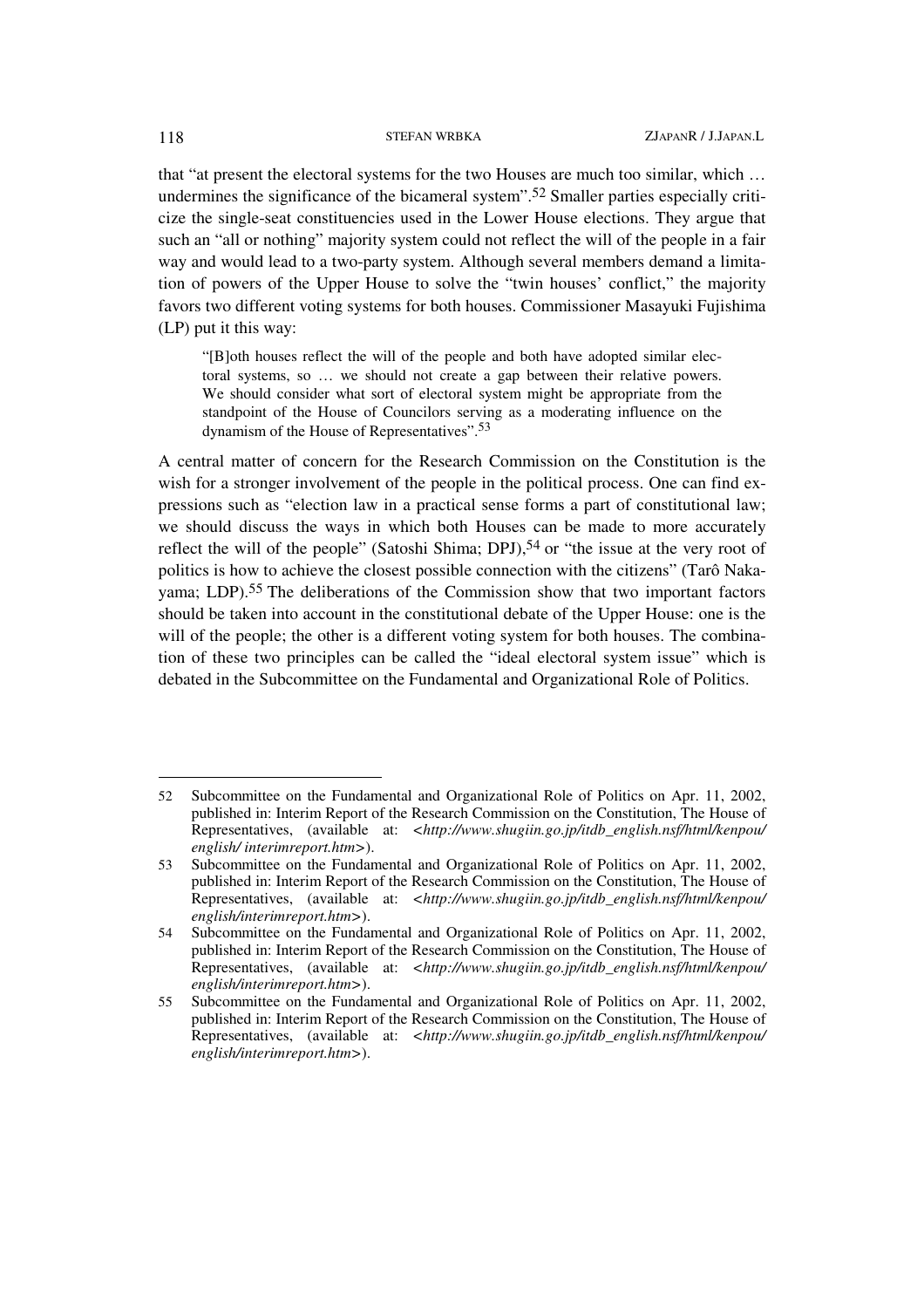that "at present the electoral systems for the two Houses are much too similar, which … undermines the significance of the bicameral system".52 Smaller parties especially criticize the single-seat constituencies used in the Lower House elections. They argue that such an "all or nothing" majority system could not reflect the will of the people in a fair way and would lead to a two-party system. Although several members demand a limitation of powers of the Upper House to solve the "twin houses' conflict," the majority favors two different voting systems for both houses. Commissioner Masayuki Fujishima (LP) put it this way:

"[B]oth houses reflect the will of the people and both have adopted similar electoral systems, so … we should not create a gap between their relative powers. We should consider what sort of electoral system might be appropriate from the standpoint of the House of Councilors serving as a moderating influence on the dynamism of the House of Representatives".53

A central matter of concern for the Research Commission on the Constitution is the wish for a stronger involvement of the people in the political process. One can find expressions such as "election law in a practical sense forms a part of constitutional law; we should discuss the ways in which both Houses can be made to more accurately reflect the will of the people" (Satoshi Shima; DPJ),<sup>54</sup> or "the issue at the very root of politics is how to achieve the closest possible connection with the citizens" (Tarô Nakayama; LDP).55 The deliberations of the Commission show that two important factors should be taken into account in the constitutional debate of the Upper House: one is the will of the people; the other is a different voting system for both houses. The combination of these two principles can be called the "ideal electoral system issue" which is debated in the Subcommittee on the Fundamental and Organizational Role of Politics.

<sup>52</sup> Subcommittee on the Fundamental and Organizational Role of Politics on Apr. 11, 2002, published in: Interim Report of the Research Commission on the Constitution, The House of Representatives, (available at: *<http://www.shugiin.go.jp/itdb\_english.nsf/html/kenpou/ english/ interimreport.htm>*).

<sup>53</sup> Subcommittee on the Fundamental and Organizational Role of Politics on Apr. 11, 2002, published in: Interim Report of the Research Commission on the Constitution, The House of Representatives, (available at: *<http://www.shugiin.go.jp/itdb\_english.nsf/html/kenpou/ english/interimreport.htm>*).

<sup>54</sup> Subcommittee on the Fundamental and Organizational Role of Politics on Apr. 11, 2002, published in: Interim Report of the Research Commission on the Constitution, The House of Representatives, (available at: *<http://www.shugiin.go.jp/itdb\_english.nsf/html/kenpou/ english/interimreport.htm>*).

<sup>55</sup> Subcommittee on the Fundamental and Organizational Role of Politics on Apr. 11, 2002, published in: Interim Report of the Research Commission on the Constitution, The House of Representatives, (available at: *<http://www.shugiin.go.jp/itdb\_english.nsf/html/kenpou/ english/interimreport.htm>*).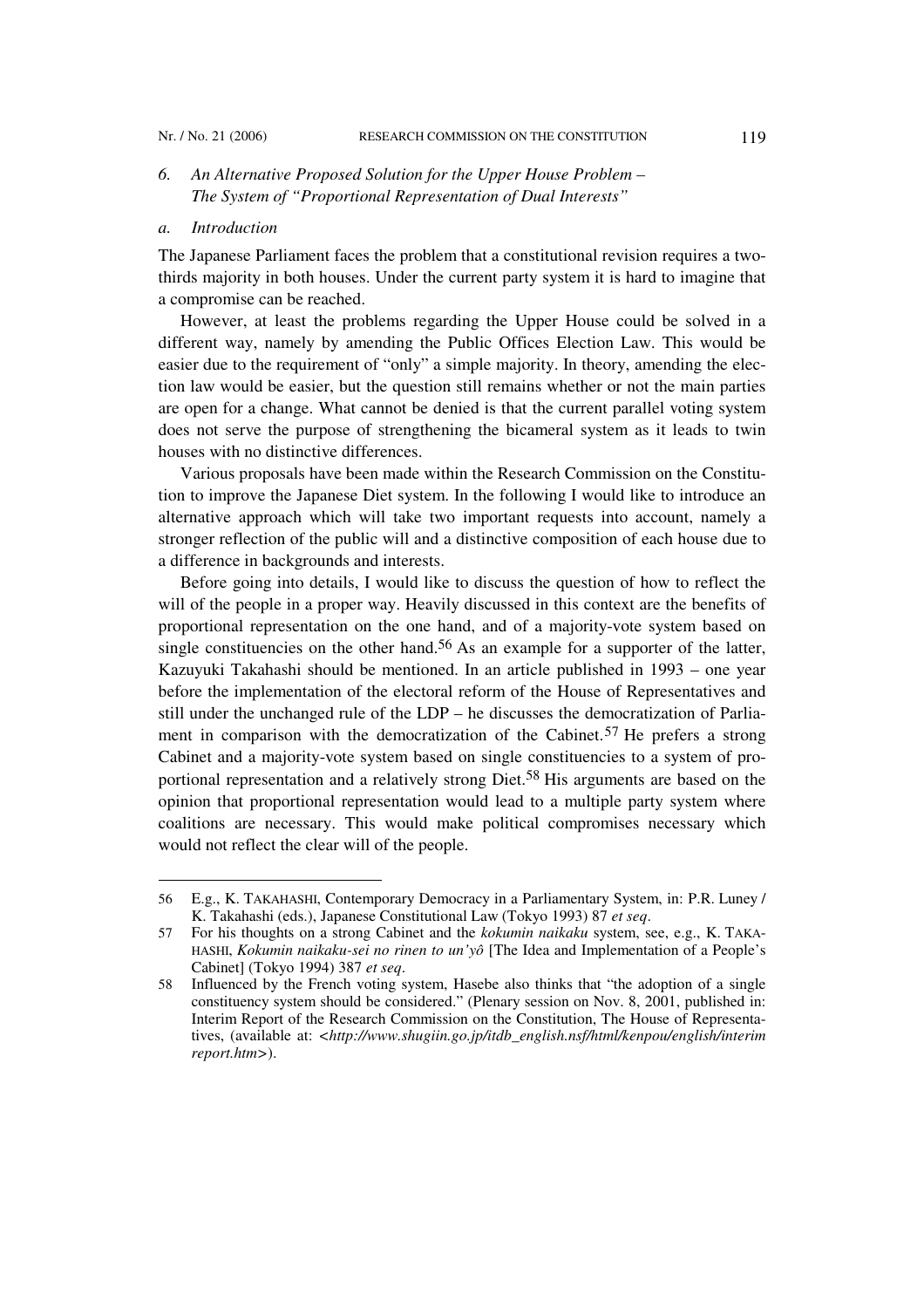# *6. An Alternative Proposed Solution for the Upper House Problem – The System of "Proportional Representation of Dual Interests"*

## *a. Introduction*

 $\overline{\phantom{a}}$ 

The Japanese Parliament faces the problem that a constitutional revision requires a twothirds majority in both houses. Under the current party system it is hard to imagine that a compromise can be reached.

However, at least the problems regarding the Upper House could be solved in a different way, namely by amending the Public Offices Election Law. This would be easier due to the requirement of "only" a simple majority. In theory, amending the election law would be easier, but the question still remains whether or not the main parties are open for a change. What cannot be denied is that the current parallel voting system does not serve the purpose of strengthening the bicameral system as it leads to twin houses with no distinctive differences.

Various proposals have been made within the Research Commission on the Constitution to improve the Japanese Diet system. In the following I would like to introduce an alternative approach which will take two important requests into account, namely a stronger reflection of the public will and a distinctive composition of each house due to a difference in backgrounds and interests.

Before going into details, I would like to discuss the question of how to reflect the will of the people in a proper way. Heavily discussed in this context are the benefits of proportional representation on the one hand, and of a majority-vote system based on single constituencies on the other hand.<sup>56</sup> As an example for a supporter of the latter, Kazuyuki Takahashi should be mentioned. In an article published in 1993 – one year before the implementation of the electoral reform of the House of Representatives and still under the unchanged rule of the LDP – he discusses the democratization of Parliament in comparison with the democratization of the Cabinet.57 He prefers a strong Cabinet and a majority-vote system based on single constituencies to a system of proportional representation and a relatively strong Diet.58 His arguments are based on the opinion that proportional representation would lead to a multiple party system where coalitions are necessary. This would make political compromises necessary which would not reflect the clear will of the people.

<sup>56</sup> E.g., K. TAKAHASHI, Contemporary Democracy in a Parliamentary System, in: P.R. Luney / K. Takahashi (eds.), Japanese Constitutional Law (Tokyo 1993) 87 *et seq*.

<sup>57</sup> For his thoughts on a strong Cabinet and the *kokumin naikaku* system, see, e.g., K. TAKA-HASHI, *Kokumin naikaku-sei no rinen to un'yô* [The Idea and Implementation of a People's Cabinet] (Tokyo 1994) 387 *et seq*.

<sup>58</sup> Influenced by the French voting system, Hasebe also thinks that "the adoption of a single constituency system should be considered." (Plenary session on Nov. 8, 2001, published in: Interim Report of the Research Commission on the Constitution, The House of Representatives, (available at: *<http://www.shugiin.go.jp/itdb\_english.nsf/html/kenpou/english/interim report.htm>*).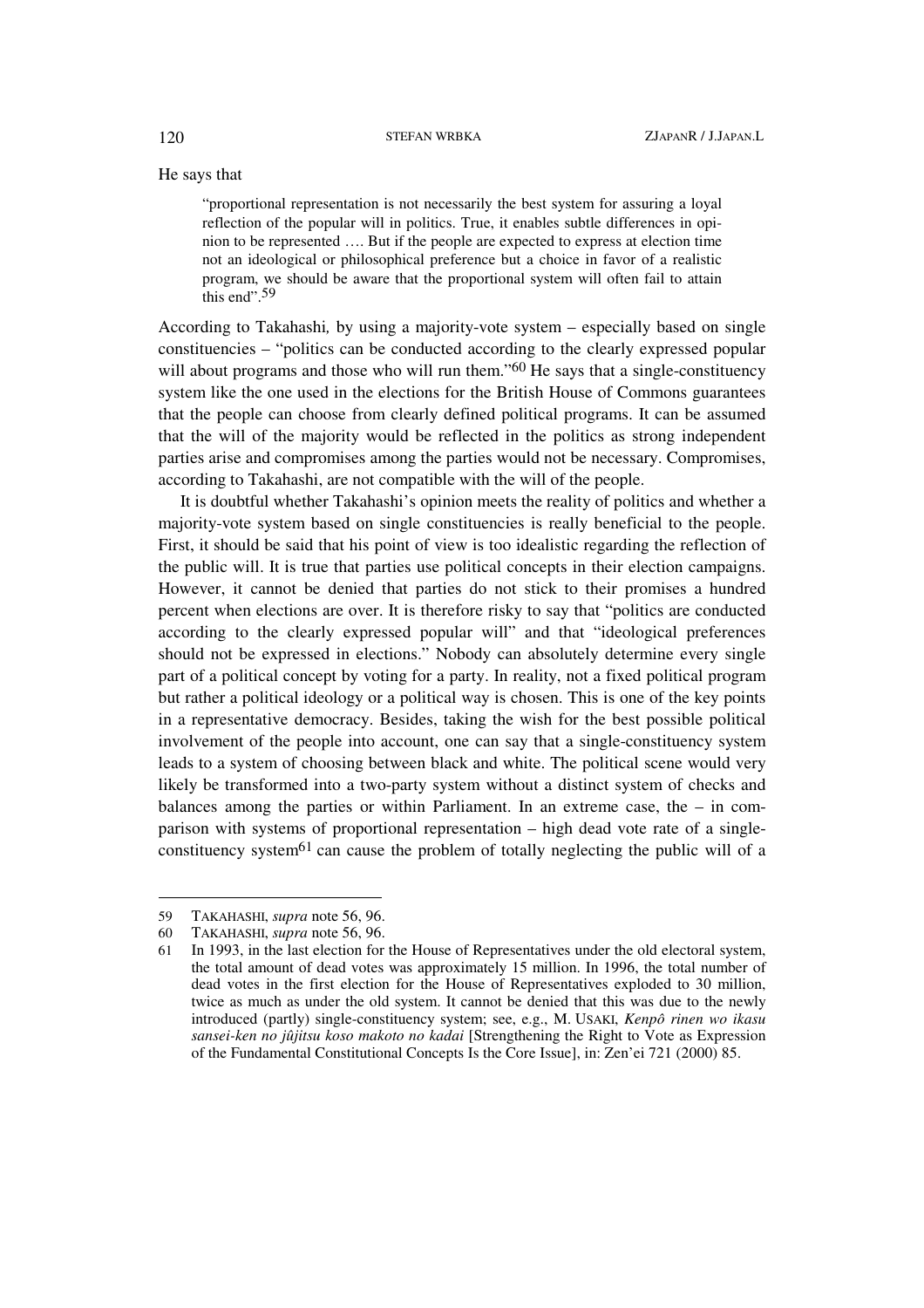He says that

"proportional representation is not necessarily the best system for assuring a loyal reflection of the popular will in politics. True, it enables subtle differences in opinion to be represented …. But if the people are expected to express at election time not an ideological or philosophical preference but a choice in favor of a realistic program, we should be aware that the proportional system will often fail to attain this end".<sup>59</sup>

According to Takahashi*,* by using a majority-vote system – especially based on single constituencies – "politics can be conducted according to the clearly expressed popular will about programs and those who will run them."<sup>60</sup> He says that a single-constituency system like the one used in the elections for the British House of Commons guarantees that the people can choose from clearly defined political programs. It can be assumed that the will of the majority would be reflected in the politics as strong independent parties arise and compromises among the parties would not be necessary. Compromises, according to Takahashi, are not compatible with the will of the people.

It is doubtful whether Takahashi's opinion meets the reality of politics and whether a majority-vote system based on single constituencies is really beneficial to the people. First, it should be said that his point of view is too idealistic regarding the reflection of the public will. It is true that parties use political concepts in their election campaigns. However, it cannot be denied that parties do not stick to their promises a hundred percent when elections are over. It is therefore risky to say that "politics are conducted according to the clearly expressed popular will" and that "ideological preferences should not be expressed in elections." Nobody can absolutely determine every single part of a political concept by voting for a party. In reality, not a fixed political program but rather a political ideology or a political way is chosen. This is one of the key points in a representative democracy. Besides, taking the wish for the best possible political involvement of the people into account, one can say that a single-constituency system leads to a system of choosing between black and white. The political scene would very likely be transformed into a two-party system without a distinct system of checks and balances among the parties or within Parliament. In an extreme case, the – in comparison with systems of proportional representation – high dead vote rate of a singleconstituency system<sup>61</sup> can cause the problem of totally neglecting the public will of a

<sup>59</sup> TAKAHASHI, *supra* note 56, 96.

<sup>60</sup> TAKAHASHI, *supra* note 56, 96.

<sup>61</sup> In 1993, in the last election for the House of Representatives under the old electoral system, the total amount of dead votes was approximately 15 million. In 1996, the total number of dead votes in the first election for the House of Representatives exploded to 30 million, twice as much as under the old system. It cannot be denied that this was due to the newly introduced (partly) single-constituency system; see, e.g., M. USAKI, *Kenpô rinen wo ikasu sansei-ken no jûjitsu koso makoto no kadai* [Strengthening the Right to Vote as Expression of the Fundamental Constitutional Concepts Is the Core Issue], in: Zen'ei 721 (2000) 85.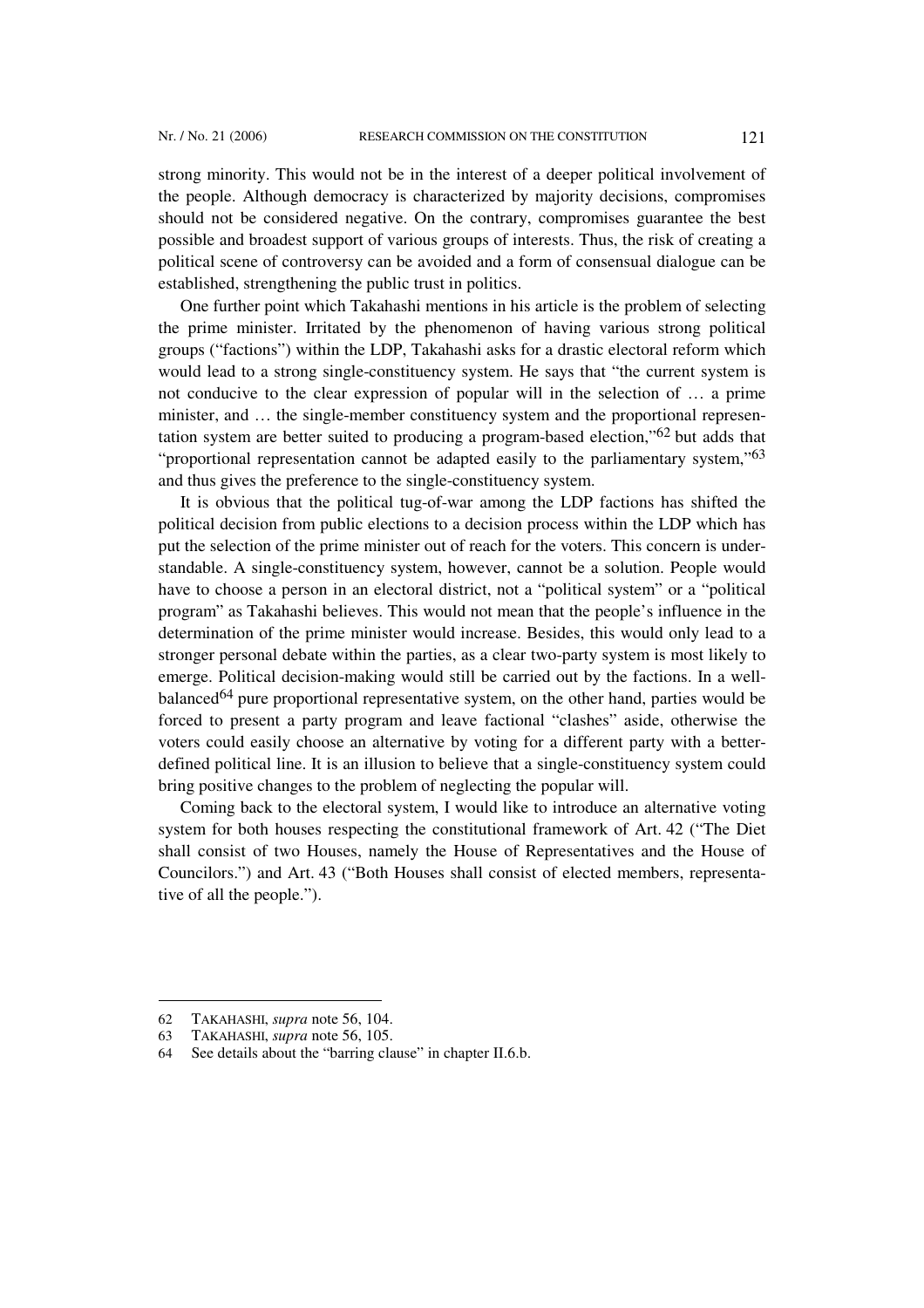strong minority. This would not be in the interest of a deeper political involvement of the people. Although democracy is characterized by majority decisions, compromises should not be considered negative. On the contrary, compromises guarantee the best possible and broadest support of various groups of interests. Thus, the risk of creating a political scene of controversy can be avoided and a form of consensual dialogue can be established, strengthening the public trust in politics.

One further point which Takahashi mentions in his article is the problem of selecting the prime minister. Irritated by the phenomenon of having various strong political groups ("factions") within the LDP, Takahashi asks for a drastic electoral reform which would lead to a strong single-constituency system. He says that "the current system is not conducive to the clear expression of popular will in the selection of … a prime minister, and … the single-member constituency system and the proportional representation system are better suited to producing a program-based election,"62 but adds that "proportional representation cannot be adapted easily to the parliamentary system,"<sup>63</sup> and thus gives the preference to the single-constituency system.

It is obvious that the political tug-of-war among the LDP factions has shifted the political decision from public elections to a decision process within the LDP which has put the selection of the prime minister out of reach for the voters. This concern is understandable. A single-constituency system, however, cannot be a solution. People would have to choose a person in an electoral district, not a "political system" or a "political program" as Takahashi believes. This would not mean that the people's influence in the determination of the prime minister would increase. Besides, this would only lead to a stronger personal debate within the parties, as a clear two-party system is most likely to emerge. Political decision-making would still be carried out by the factions. In a wellbalanced<sup>64</sup> pure proportional representative system, on the other hand, parties would be forced to present a party program and leave factional "clashes" aside, otherwise the voters could easily choose an alternative by voting for a different party with a betterdefined political line. It is an illusion to believe that a single-constituency system could bring positive changes to the problem of neglecting the popular will.

Coming back to the electoral system, I would like to introduce an alternative voting system for both houses respecting the constitutional framework of Art. 42 ("The Diet shall consist of two Houses, namely the House of Representatives and the House of Councilors.") and Art. 43 ("Both Houses shall consist of elected members, representative of all the people.").

<sup>62</sup> TAKAHASHI, *supra* note 56, 104.

<sup>63</sup> TAKAHASHI, *supra* note 56, 105.

<sup>64</sup> See details about the "barring clause" in chapter II.6.b.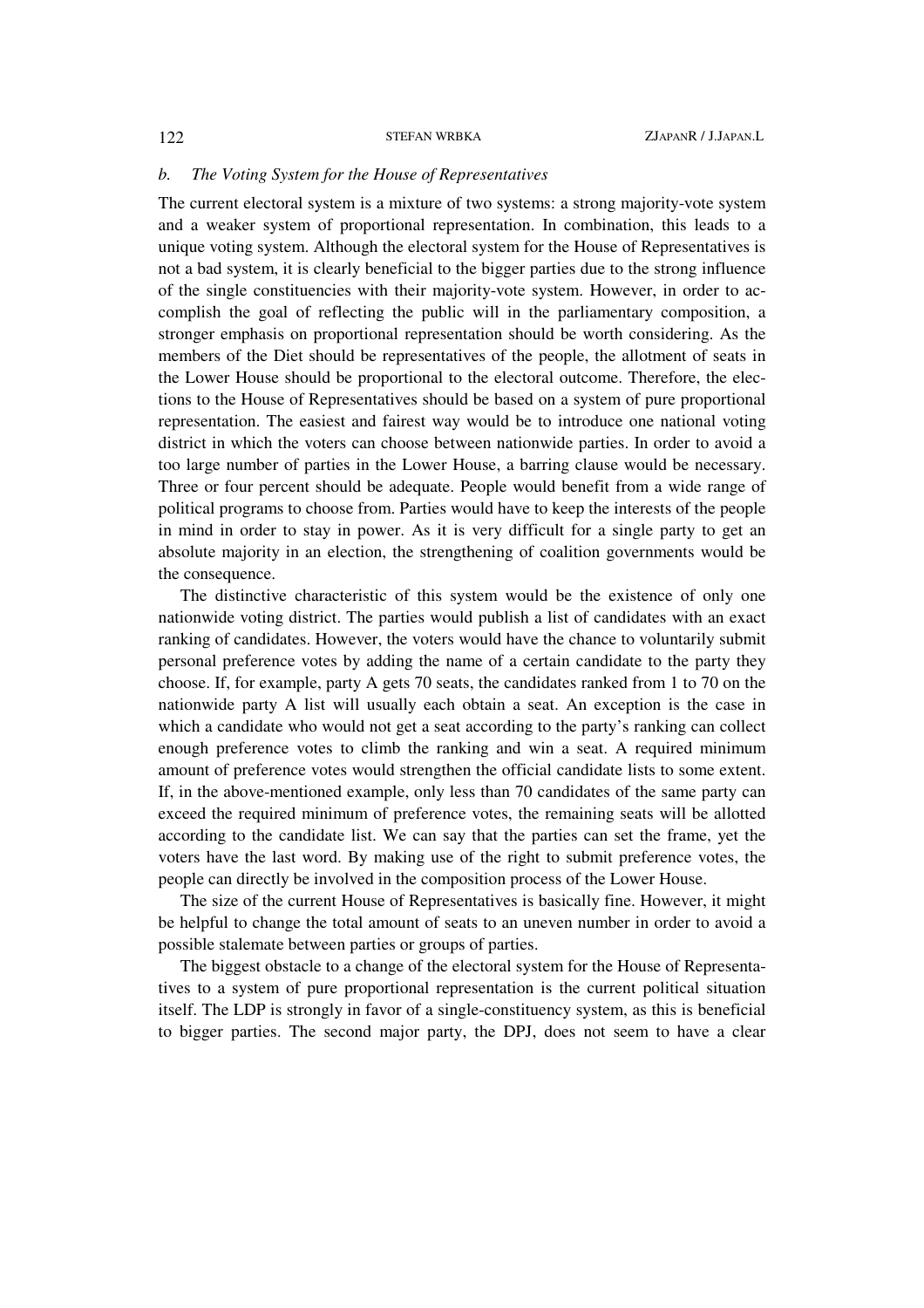### *b. The Voting System for the House of Representatives*

The current electoral system is a mixture of two systems: a strong majority-vote system and a weaker system of proportional representation. In combination, this leads to a unique voting system. Although the electoral system for the House of Representatives is not a bad system, it is clearly beneficial to the bigger parties due to the strong influence of the single constituencies with their majority-vote system. However, in order to accomplish the goal of reflecting the public will in the parliamentary composition, a stronger emphasis on proportional representation should be worth considering. As the members of the Diet should be representatives of the people, the allotment of seats in the Lower House should be proportional to the electoral outcome. Therefore, the elections to the House of Representatives should be based on a system of pure proportional representation. The easiest and fairest way would be to introduce one national voting district in which the voters can choose between nationwide parties. In order to avoid a too large number of parties in the Lower House, a barring clause would be necessary. Three or four percent should be adequate. People would benefit from a wide range of political programs to choose from. Parties would have to keep the interests of the people in mind in order to stay in power. As it is very difficult for a single party to get an absolute majority in an election, the strengthening of coalition governments would be the consequence.

The distinctive characteristic of this system would be the existence of only one nationwide voting district. The parties would publish a list of candidates with an exact ranking of candidates. However, the voters would have the chance to voluntarily submit personal preference votes by adding the name of a certain candidate to the party they choose. If, for example, party A gets 70 seats, the candidates ranked from 1 to 70 on the nationwide party A list will usually each obtain a seat. An exception is the case in which a candidate who would not get a seat according to the party's ranking can collect enough preference votes to climb the ranking and win a seat. A required minimum amount of preference votes would strengthen the official candidate lists to some extent. If, in the above-mentioned example, only less than 70 candidates of the same party can exceed the required minimum of preference votes, the remaining seats will be allotted according to the candidate list. We can say that the parties can set the frame, yet the voters have the last word. By making use of the right to submit preference votes, the people can directly be involved in the composition process of the Lower House.

The size of the current House of Representatives is basically fine. However, it might be helpful to change the total amount of seats to an uneven number in order to avoid a possible stalemate between parties or groups of parties.

The biggest obstacle to a change of the electoral system for the House of Representatives to a system of pure proportional representation is the current political situation itself. The LDP is strongly in favor of a single-constituency system, as this is beneficial to bigger parties. The second major party, the DPJ, does not seem to have a clear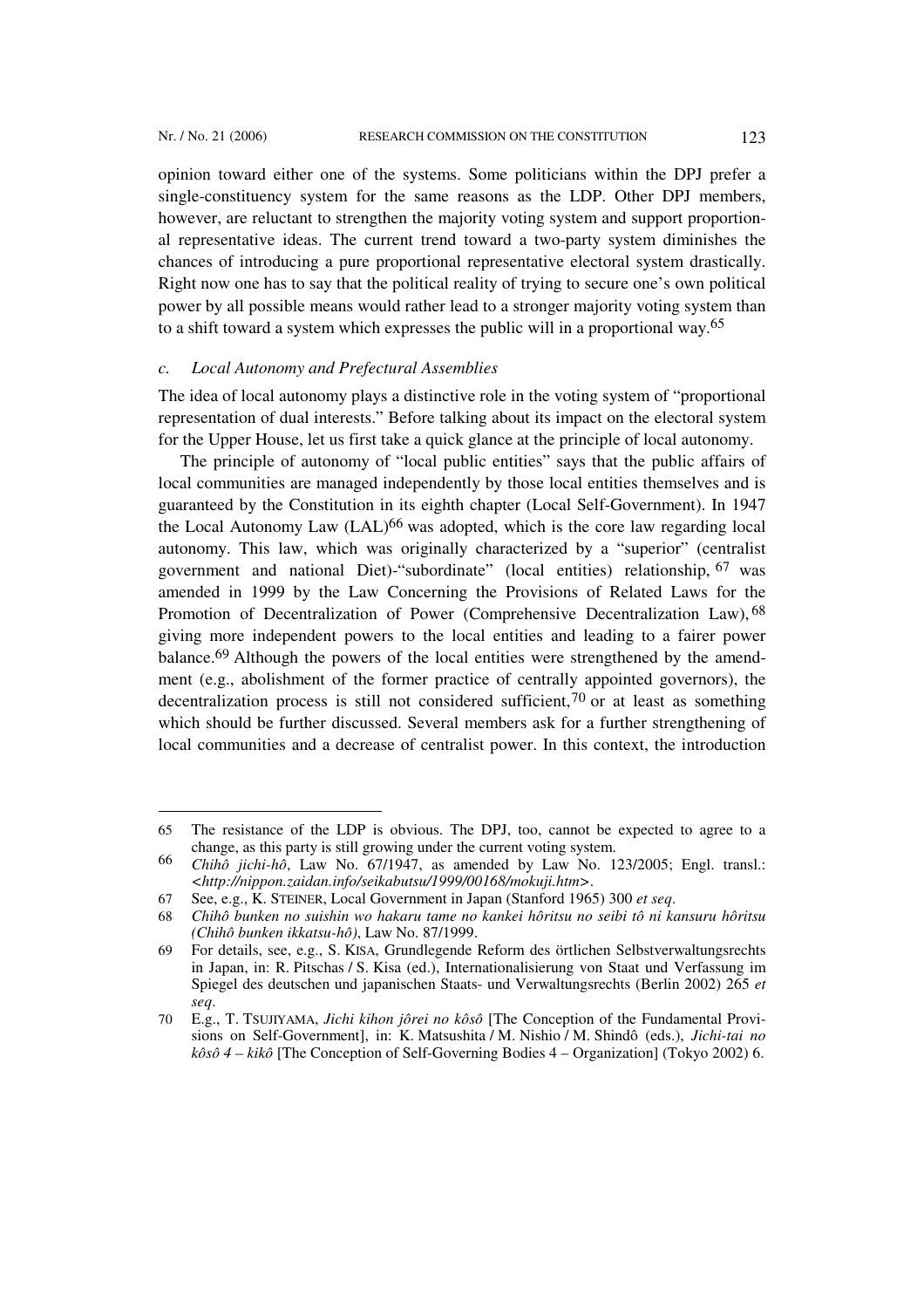l

opinion toward either one of the systems. Some politicians within the DPJ prefer a single-constituency system for the same reasons as the LDP. Other DPJ members, however, are reluctant to strengthen the majority voting system and support proportional representative ideas. The current trend toward a two-party system diminishes the chances of introducing a pure proportional representative electoral system drastically. Right now one has to say that the political reality of trying to secure one's own political power by all possible means would rather lead to a stronger majority voting system than to a shift toward a system which expresses the public will in a proportional way.65

## *c. Local Autonomy and Prefectural Assemblies*

The idea of local autonomy plays a distinctive role in the voting system of "proportional representation of dual interests." Before talking about its impact on the electoral system for the Upper House, let us first take a quick glance at the principle of local autonomy.

The principle of autonomy of "local public entities" says that the public affairs of local communities are managed independently by those local entities themselves and is guaranteed by the Constitution in its eighth chapter (Local Self-Government). In 1947 the Local Autonomy Law (LAL)<sup>66</sup> was adopted, which is the core law regarding local autonomy. This law, which was originally characterized by a "superior" (centralist government and national Diet)-"subordinate" (local entities) relationship, 67 was amended in 1999 by the Law Concerning the Provisions of Related Laws for the Promotion of Decentralization of Power (Comprehensive Decentralization Law), 68 giving more independent powers to the local entities and leading to a fairer power balance.69 Although the powers of the local entities were strengthened by the amendment (e.g., abolishment of the former practice of centrally appointed governors), the decentralization process is still not considered sufficient,  $70$  or at least as something which should be further discussed. Several members ask for a further strengthening of local communities and a decrease of centralist power. In this context, the introduction

<sup>65</sup> The resistance of the LDP is obvious. The DPJ, too, cannot be expected to agree to a change, as this party is still growing under the current voting system.

<sup>66</sup> *Chihô jichi-hô*, Law No. 67/1947, as amended by Law No. 123/2005; Engl. transl.: *<http://nippon.zaidan.info/seikabutsu/1999/00168/mokuji.htm>*.

<sup>67</sup> See, e.g., K. STEINER, Local Government in Japan (Stanford 1965) 300 *et seq*.

<sup>68</sup> *Chihô bunken no suishin wo hakaru tame no kankei hôritsu no seibi tô ni kansuru hôritsu (Chihô bunken ikkatsu-hô)*, Law No. 87/1999.

<sup>69</sup> For details, see, e.g., S. KISA, Grundlegende Reform des örtlichen Selbstverwaltungsrechts in Japan, in: R. Pitschas / S. Kisa (ed.), Internationalisierung von Staat und Verfassung im Spiegel des deutschen und japanischen Staats- und Verwaltungsrechts (Berlin 2002) 265 *et seq*.

<sup>70</sup> E.g., T. TSUJIYAMA, *Jichi kihon jôrei no kôsô* [The Conception of the Fundamental Provisions on Self-Government], in: K. Matsushita / M. Nishio / M. Shindô (eds.), *Jichi-tai no kôsô 4 – kikô* [The Conception of Self-Governing Bodies 4 – Organization] (Tokyo 2002) 6.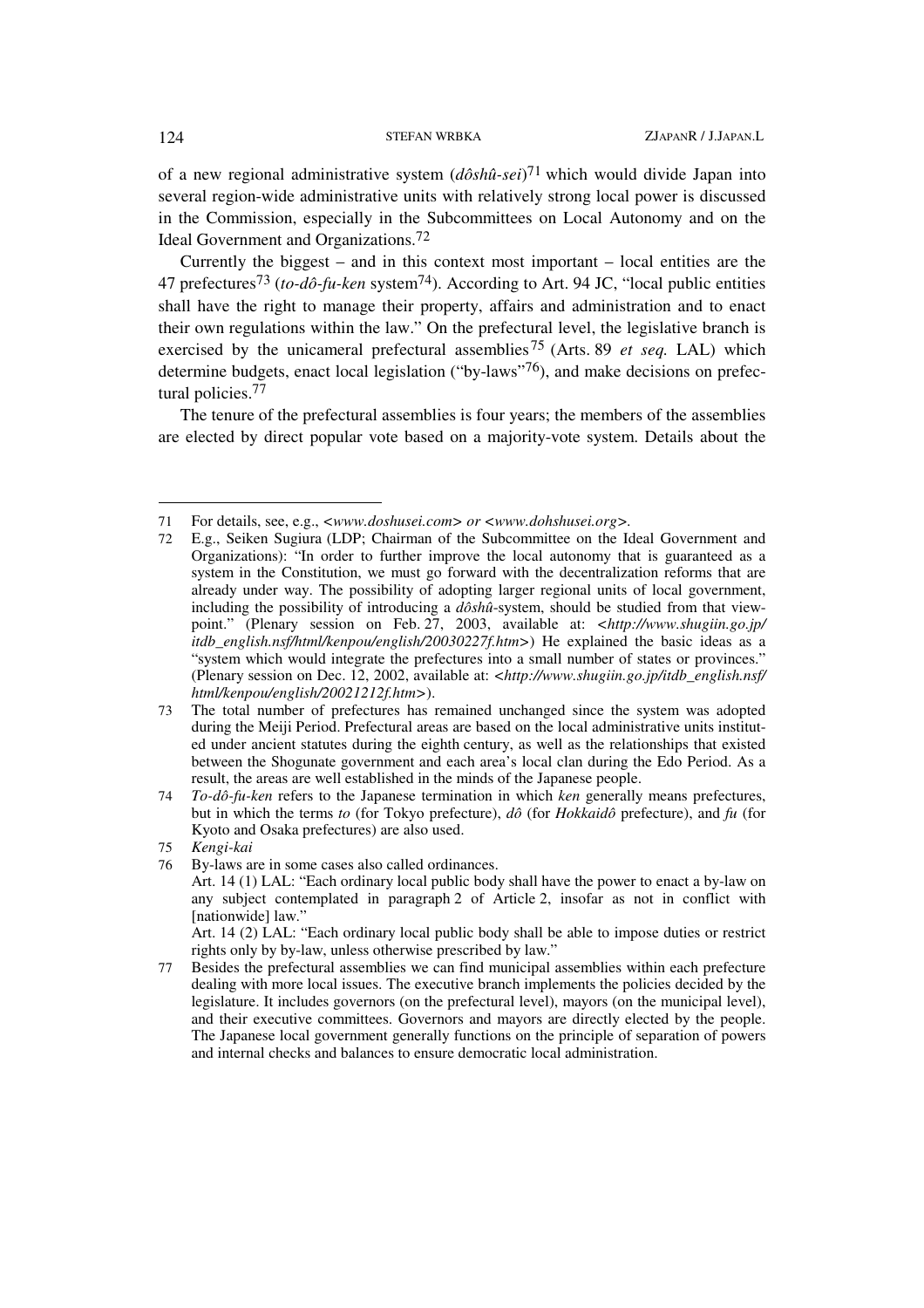of a new regional administrative system (*dôshû-sei*) 71 which would divide Japan into several region-wide administrative units with relatively strong local power is discussed in the Commission, especially in the Subcommittees on Local Autonomy and on the Ideal Government and Organizations.72

Currently the biggest – and in this context most important – local entities are the 47 prefectures73 (*to-dô-fu-ken* system74). According to Art. 94 JC, "local public entities shall have the right to manage their property, affairs and administration and to enact their own regulations within the law." On the prefectural level, the legislative branch is exercised by the unicameral prefectural assemblies75 (Arts. 89 *et seq.* LAL) which determine budgets, enact local legislation ("by-laws"76), and make decisions on prefectural policies.<sup>77</sup>

The tenure of the prefectural assemblies is four years; the members of the assemblies are elected by direct popular vote based on a majority-vote system. Details about the

<sup>71</sup> For details, see, e.g., *<www.doshusei.com> or <www.dohshusei.org>.*

<sup>72</sup> E.g., Seiken Sugiura (LDP; Chairman of the Subcommittee on the Ideal Government and Organizations): "In order to further improve the local autonomy that is guaranteed as a system in the Constitution, we must go forward with the decentralization reforms that are already under way. The possibility of adopting larger regional units of local government, including the possibility of introducing a *dôshû*-system, should be studied from that viewpoint." (Plenary session on Feb. 27, 2003, available at: *<http://www.shugiin.go.jp/ itdb* english.nsf/html/kenpou/english/20030227f.htm>) He explained the basic ideas as a "system which would integrate the prefectures into a small number of states or provinces." (Plenary session on Dec. 12, 2002, available at: *<http://www.shugiin.go.jp/itdb\_english.nsf/ html/kenpou/english/20021212f.htm>*).

<sup>73</sup> The total number of prefectures has remained unchanged since the system was adopted during the Meiji Period. Prefectural areas are based on the local administrative units instituted under ancient statutes during the eighth century, as well as the relationships that existed between the Shogunate government and each area's local clan during the Edo Period. As a result, the areas are well established in the minds of the Japanese people.

<sup>74</sup> *To-dô-fu-ken* refers to the Japanese termination in which *ken* generally means prefectures, but in which the terms *to* (for Tokyo prefecture), *dô* (for *Hokkaidô* prefecture), and *fu* (for Kyoto and Osaka prefectures) are also used.

<sup>75</sup> *Kengi-kai* 

<sup>76</sup> By-laws are in some cases also called ordinances.

Art. 14 (1) LAL: "Each ordinary local public body shall have the power to enact a by-law on any subject contemplated in paragraph 2 of Article 2, insofar as not in conflict with [nationwide] law."

Art. 14 (2) LAL: "Each ordinary local public body shall be able to impose duties or restrict rights only by by-law, unless otherwise prescribed by law."

<sup>77</sup> Besides the prefectural assemblies we can find municipal assemblies within each prefecture dealing with more local issues. The executive branch implements the policies decided by the legislature. It includes governors (on the prefectural level), mayors (on the municipal level), and their executive committees. Governors and mayors are directly elected by the people. The Japanese local government generally functions on the principle of separation of powers and internal checks and balances to ensure democratic local administration.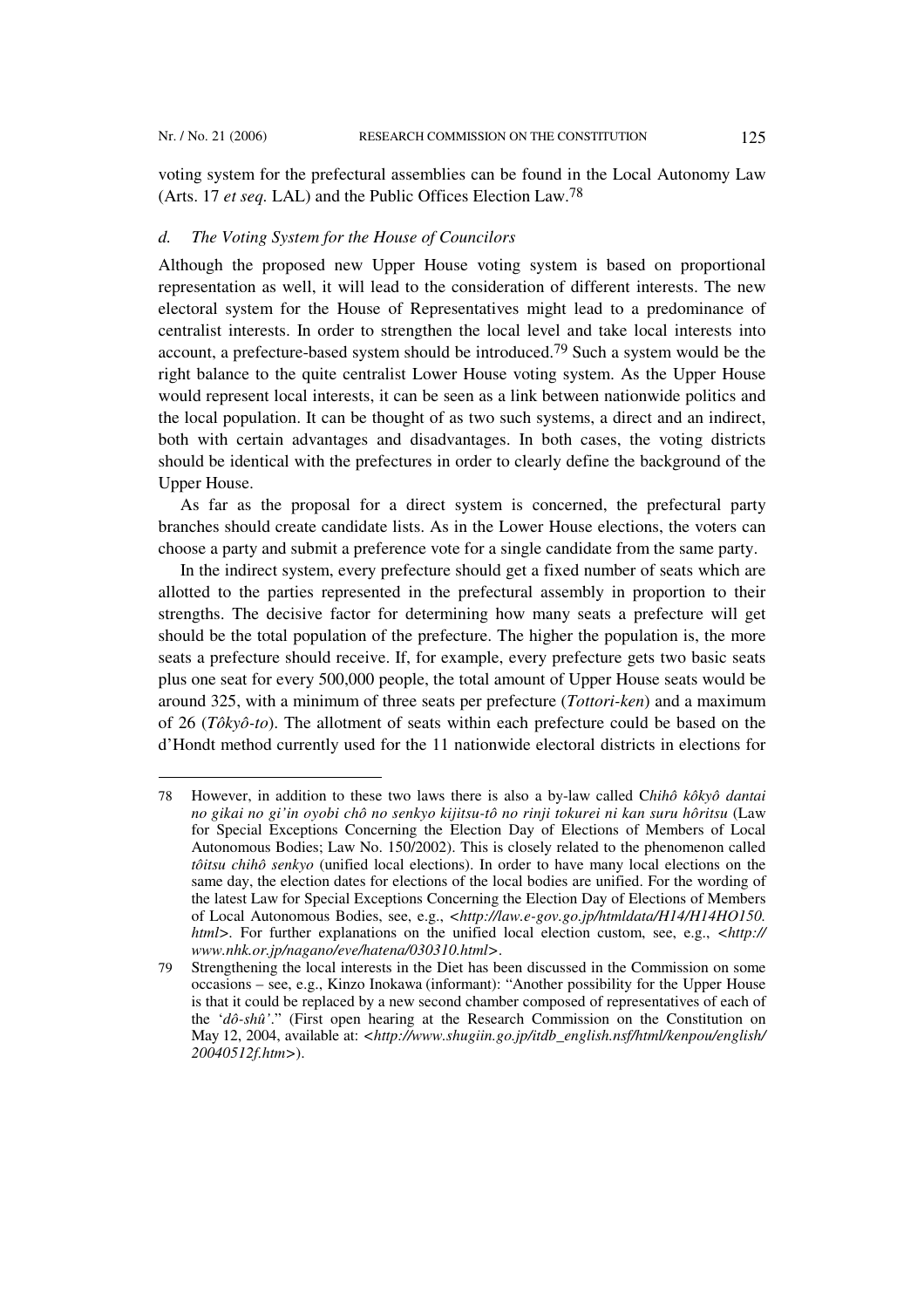l

voting system for the prefectural assemblies can be found in the Local Autonomy Law (Arts. 17 *et seq.* LAL) and the Public Offices Election Law.78

### *d. The Voting System for the House of Councilors*

Although the proposed new Upper House voting system is based on proportional representation as well, it will lead to the consideration of different interests. The new electoral system for the House of Representatives might lead to a predominance of centralist interests. In order to strengthen the local level and take local interests into account, a prefecture-based system should be introduced.79 Such a system would be the right balance to the quite centralist Lower House voting system. As the Upper House would represent local interests, it can be seen as a link between nationwide politics and the local population. It can be thought of as two such systems, a direct and an indirect, both with certain advantages and disadvantages. In both cases, the voting districts should be identical with the prefectures in order to clearly define the background of the Upper House.

As far as the proposal for a direct system is concerned, the prefectural party branches should create candidate lists. As in the Lower House elections, the voters can choose a party and submit a preference vote for a single candidate from the same party.

In the indirect system, every prefecture should get a fixed number of seats which are allotted to the parties represented in the prefectural assembly in proportion to their strengths. The decisive factor for determining how many seats a prefecture will get should be the total population of the prefecture. The higher the population is, the more seats a prefecture should receive. If, for example, every prefecture gets two basic seats plus one seat for every 500,000 people, the total amount of Upper House seats would be around 325, with a minimum of three seats per prefecture (*Tottori-ken*) and a maximum of 26 (*Tôkyô-to*). The allotment of seats within each prefecture could be based on the d'Hondt method currently used for the 11 nationwide electoral districts in elections for

<sup>78</sup> However, in addition to these two laws there is also a by-law called C*hihô kôkyô dantai no gikai no gi'in oyobi chô no senkyo kijitsu-tô no rinji tokurei ni kan suru hôritsu* (Law for Special Exceptions Concerning the Election Day of Elections of Members of Local Autonomous Bodies; Law No. 150/2002). This is closely related to the phenomenon called *tôitsu chihô senkyo* (unified local elections). In order to have many local elections on the same day, the election dates for elections of the local bodies are unified. For the wording of the latest Law for Special Exceptions Concerning the Election Day of Elections of Members of Local Autonomous Bodies, see, e.g., *<http://law.e-gov.go.jp/htmldata/H14/H14HO150. html>.* For further explanations on the unified local election custom, see, e.g., *<http:// www.nhk.or.jp/nagano/eve/hatena/030310.html>*.

<sup>79</sup> Strengthening the local interests in the Diet has been discussed in the Commission on some occasions – see, e.g., Kinzo Inokawa (informant): "Another possibility for the Upper House is that it could be replaced by a new second chamber composed of representatives of each of the '*dô-shû'*." (First open hearing at the Research Commission on the Constitution on May 12, 2004, available at: *<http://www.shugiin.go.jp/itdb\_english.nsf/html/kenpou/english/ 20040512f.htm>*).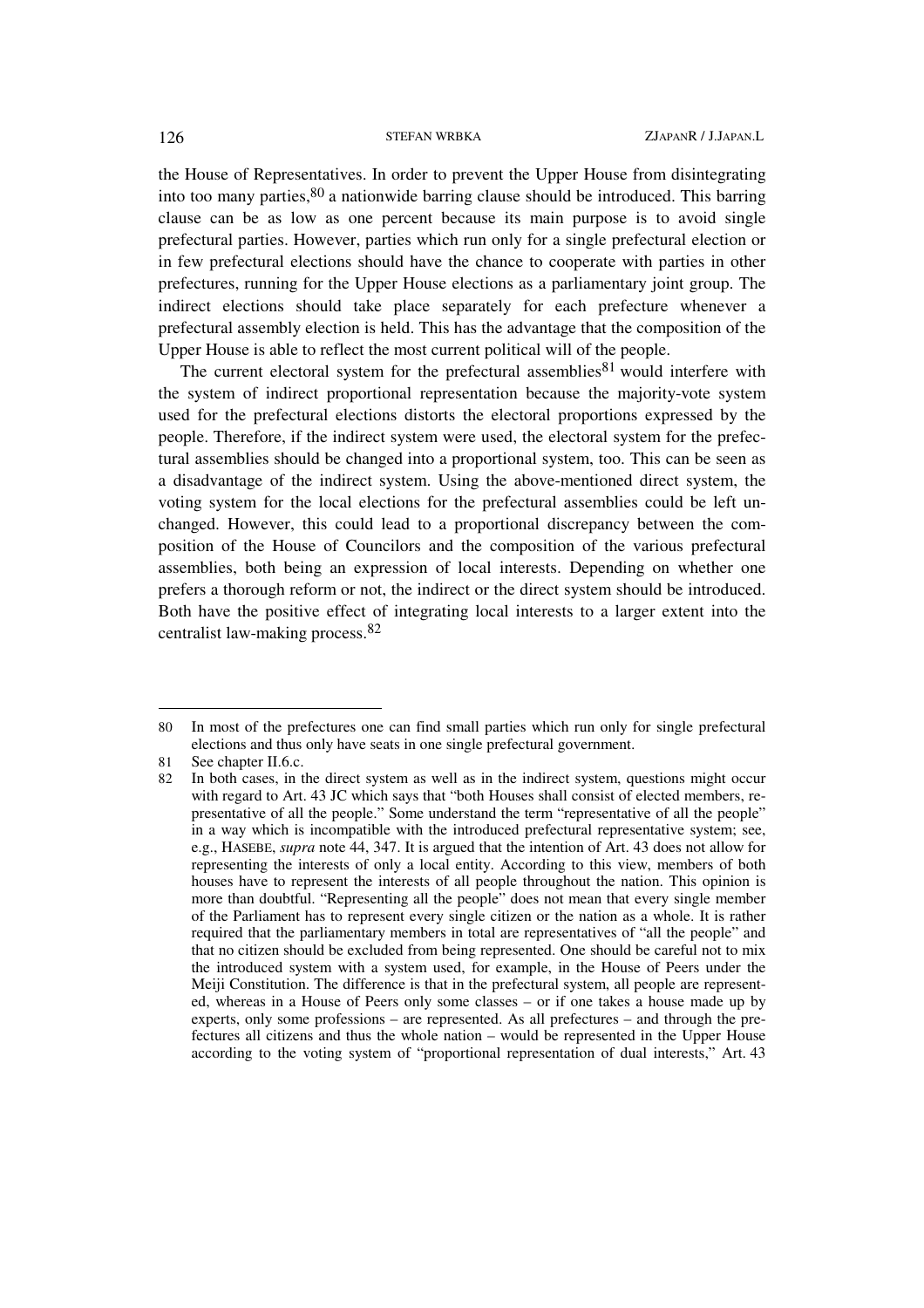the House of Representatives. In order to prevent the Upper House from disintegrating into too many parties,  $80$  a nationwide barring clause should be introduced. This barring clause can be as low as one percent because its main purpose is to avoid single prefectural parties. However, parties which run only for a single prefectural election or in few prefectural elections should have the chance to cooperate with parties in other prefectures, running for the Upper House elections as a parliamentary joint group. The indirect elections should take place separately for each prefecture whenever a prefectural assembly election is held. This has the advantage that the composition of the Upper House is able to reflect the most current political will of the people.

The current electoral system for the prefectural assemblies<sup>81</sup> would interfere with the system of indirect proportional representation because the majority-vote system used for the prefectural elections distorts the electoral proportions expressed by the people. Therefore, if the indirect system were used, the electoral system for the prefectural assemblies should be changed into a proportional system, too. This can be seen as a disadvantage of the indirect system. Using the above-mentioned direct system, the voting system for the local elections for the prefectural assemblies could be left unchanged. However, this could lead to a proportional discrepancy between the composition of the House of Councilors and the composition of the various prefectural assemblies, both being an expression of local interests. Depending on whether one prefers a thorough reform or not, the indirect or the direct system should be introduced. Both have the positive effect of integrating local interests to a larger extent into the centralist law-making process.82

<sup>80</sup> In most of the prefectures one can find small parties which run only for single prefectural elections and thus only have seats in one single prefectural government.

<sup>81</sup> See chapter II.6.c.

<sup>82</sup> In both cases, in the direct system as well as in the indirect system, questions might occur with regard to Art. 43 JC which says that "both Houses shall consist of elected members, representative of all the people." Some understand the term "representative of all the people" in a way which is incompatible with the introduced prefectural representative system; see, e.g., HASEBE, *supra* note 44, 347. It is argued that the intention of Art. 43 does not allow for representing the interests of only a local entity. According to this view, members of both houses have to represent the interests of all people throughout the nation. This opinion is more than doubtful. "Representing all the people" does not mean that every single member of the Parliament has to represent every single citizen or the nation as a whole. It is rather required that the parliamentary members in total are representatives of "all the people" and that no citizen should be excluded from being represented. One should be careful not to mix the introduced system with a system used, for example, in the House of Peers under the Meiji Constitution. The difference is that in the prefectural system, all people are represented, whereas in a House of Peers only some classes – or if one takes a house made up by experts, only some professions – are represented. As all prefectures – and through the prefectures all citizens and thus the whole nation – would be represented in the Upper House according to the voting system of "proportional representation of dual interests," Art. 43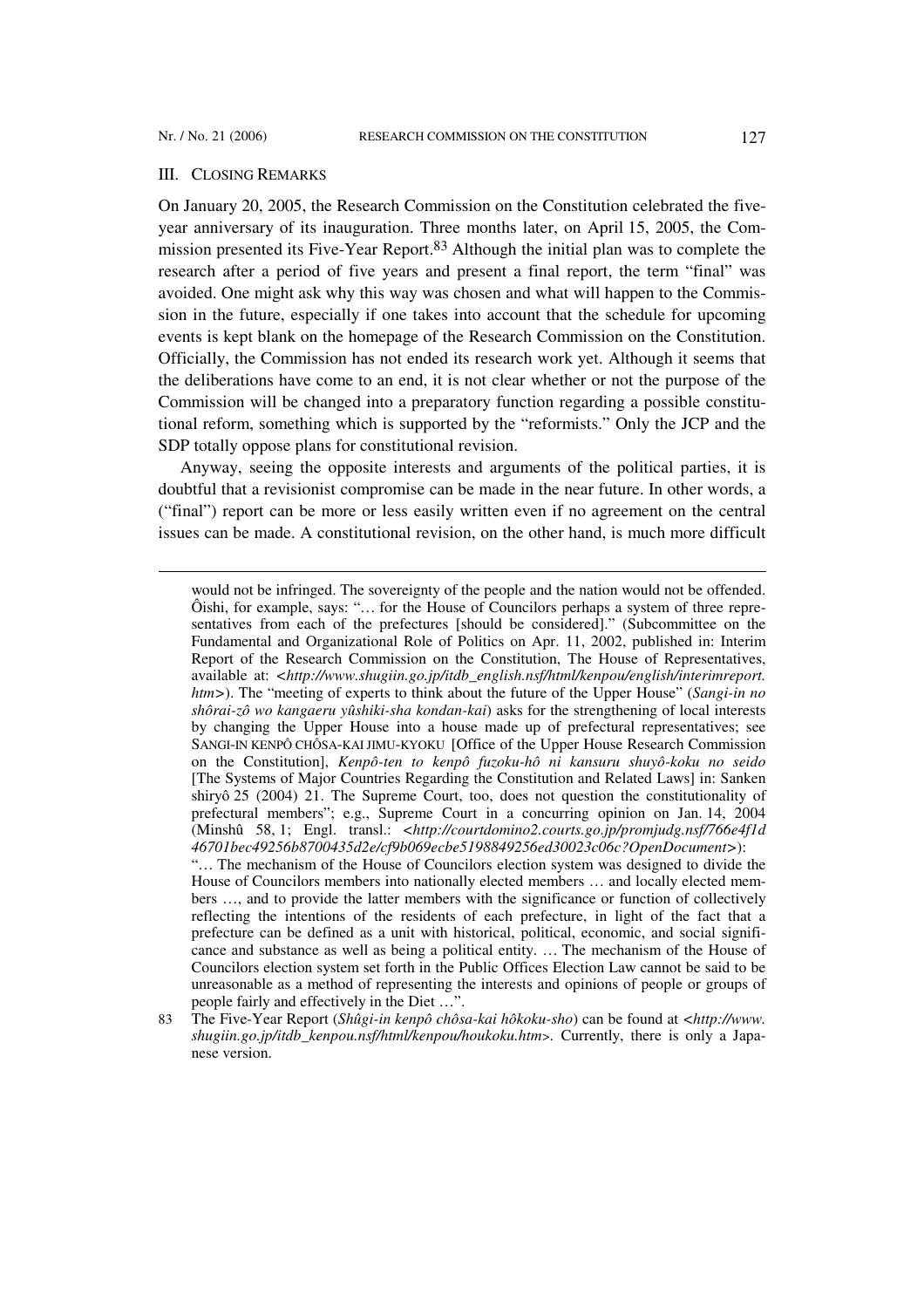$\overline{\phantom{a}}$ 

### III. CLOSING REMARKS

On January 20, 2005, the Research Commission on the Constitution celebrated the fiveyear anniversary of its inauguration. Three months later, on April 15, 2005, the Commission presented its Five-Year Report.83 Although the initial plan was to complete the research after a period of five years and present a final report, the term "final" was avoided. One might ask why this way was chosen and what will happen to the Commission in the future, especially if one takes into account that the schedule for upcoming events is kept blank on the homepage of the Research Commission on the Constitution. Officially, the Commission has not ended its research work yet. Although it seems that the deliberations have come to an end, it is not clear whether or not the purpose of the Commission will be changed into a preparatory function regarding a possible constitutional reform, something which is supported by the "reformists." Only the JCP and the SDP totally oppose plans for constitutional revision.

Anyway, seeing the opposite interests and arguments of the political parties, it is doubtful that a revisionist compromise can be made in the near future. In other words, a ("final") report can be more or less easily written even if no agreement on the central issues can be made. A constitutional revision, on the other hand, is much more difficult

would not be infringed. The sovereignty of the people and the nation would not be offended. Ôishi, for example, says: "… for the House of Councilors perhaps a system of three representatives from each of the prefectures [should be considered]." (Subcommittee on the Fundamental and Organizational Role of Politics on Apr. 11, 2002, published in: Interim Report of the Research Commission on the Constitution, The House of Representatives, available at: *<http://www.shugiin.go.jp/itdb\_english.nsf/html/kenpou/english/interimreport. htm>*). The "meeting of experts to think about the future of the Upper House" (*Sangi-in no shôrai-zô wo kangaeru yûshiki-sha kondan-kai*) asks for the strengthening of local interests by changing the Upper House into a house made up of prefectural representatives; see SANGI-IN KENPÔ CHÔSA-KAI JIMU-KYOKU [Office of the Upper House Research Commission on the Constitution], *Kenpô-ten to kenpô fuzoku-hô ni kansuru shuyô-koku no seido* [The Systems of Major Countries Regarding the Constitution and Related Laws] in: Sanken shiryô 25 (2004) 21. The Supreme Court, too, does not question the constitutionality of prefectural members"; e.g., Supreme Court in a concurring opinion on Jan. 14, 2004 (Minshû 58, 1; Engl. transl.: *<http://courtdomino2.courts.go.jp/promjudg.nsf/766e4f1d 46701bec49256b8700435d2e/cf9b069ecbe5198849256ed30023c06c?OpenDocument>*):

<sup>&</sup>quot;… The mechanism of the House of Councilors election system was designed to divide the House of Councilors members into nationally elected members … and locally elected members …, and to provide the latter members with the significance or function of collectively reflecting the intentions of the residents of each prefecture, in light of the fact that a prefecture can be defined as a unit with historical, political, economic, and social significance and substance as well as being a political entity. … The mechanism of the House of Councilors election system set forth in the Public Offices Election Law cannot be said to be unreasonable as a method of representing the interests and opinions of people or groups of people fairly and effectively in the Diet …".

<sup>83</sup> The Five-Year Report (*Shûgi-in kenpô chôsa-kai hôkoku-sho*) can be found at *<http://www. shugiin.go.jp/itdb\_kenpou.nsf/html/kenpou/houkoku.htm>.* Currently, there is only a Japanese version.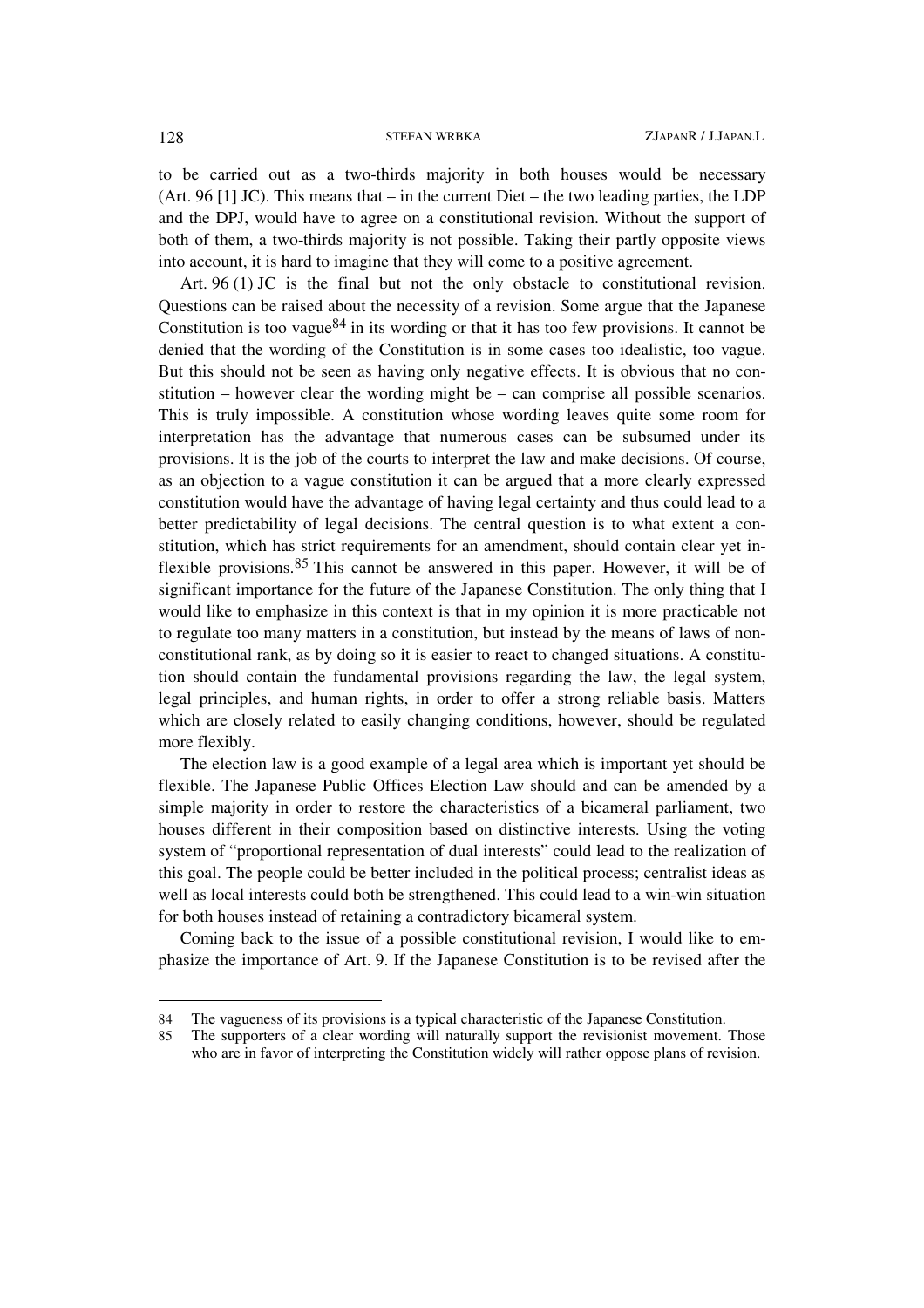to be carried out as a two-thirds majority in both houses would be necessary (Art. 96 [1] JC). This means that – in the current Diet – the two leading parties, the LDP and the DPJ, would have to agree on a constitutional revision. Without the support of both of them, a two-thirds majority is not possible. Taking their partly opposite views into account, it is hard to imagine that they will come to a positive agreement.

Art. 96 (1) JC is the final but not the only obstacle to constitutional revision. Questions can be raised about the necessity of a revision. Some argue that the Japanese Constitution is too vague  $84$  in its wording or that it has too few provisions. It cannot be denied that the wording of the Constitution is in some cases too idealistic, too vague. But this should not be seen as having only negative effects. It is obvious that no constitution – however clear the wording might be – can comprise all possible scenarios. This is truly impossible. A constitution whose wording leaves quite some room for interpretation has the advantage that numerous cases can be subsumed under its provisions. It is the job of the courts to interpret the law and make decisions. Of course, as an objection to a vague constitution it can be argued that a more clearly expressed constitution would have the advantage of having legal certainty and thus could lead to a better predictability of legal decisions. The central question is to what extent a constitution, which has strict requirements for an amendment, should contain clear yet inflexible provisions.85 This cannot be answered in this paper. However, it will be of significant importance for the future of the Japanese Constitution. The only thing that I would like to emphasize in this context is that in my opinion it is more practicable not to regulate too many matters in a constitution, but instead by the means of laws of nonconstitutional rank, as by doing so it is easier to react to changed situations. A constitution should contain the fundamental provisions regarding the law, the legal system, legal principles, and human rights, in order to offer a strong reliable basis. Matters which are closely related to easily changing conditions, however, should be regulated more flexibly.

The election law is a good example of a legal area which is important yet should be flexible. The Japanese Public Offices Election Law should and can be amended by a simple majority in order to restore the characteristics of a bicameral parliament, two houses different in their composition based on distinctive interests. Using the voting system of "proportional representation of dual interests" could lead to the realization of this goal. The people could be better included in the political process; centralist ideas as well as local interests could both be strengthened. This could lead to a win-win situation for both houses instead of retaining a contradictory bicameral system.

Coming back to the issue of a possible constitutional revision, I would like to emphasize the importance of Art. 9. If the Japanese Constitution is to be revised after the

<sup>84</sup> The vagueness of its provisions is a typical characteristic of the Japanese Constitution.

<sup>85</sup> The supporters of a clear wording will naturally support the revisionist movement. Those who are in favor of interpreting the Constitution widely will rather oppose plans of revision.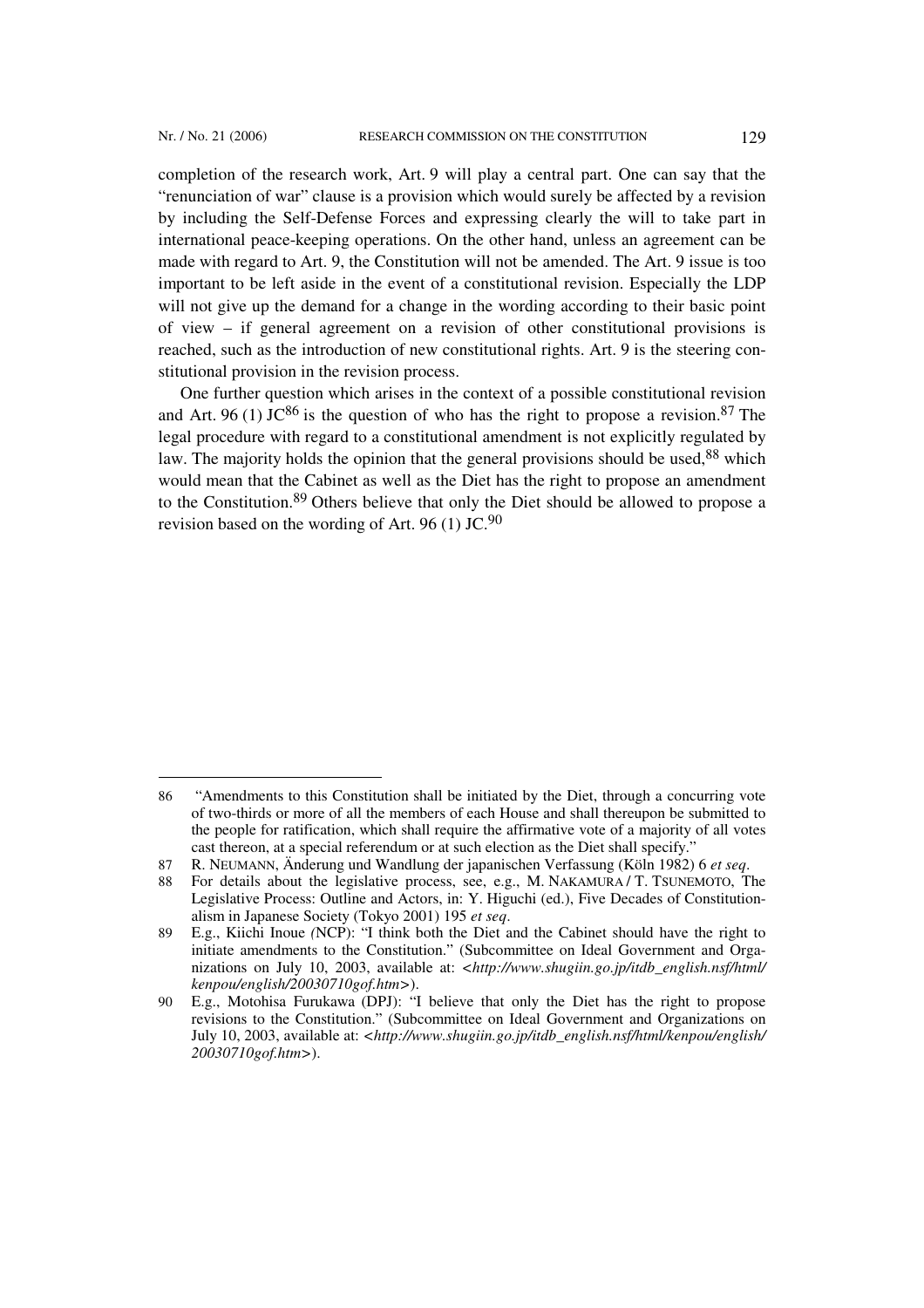l

completion of the research work, Art. 9 will play a central part. One can say that the "renunciation of war" clause is a provision which would surely be affected by a revision by including the Self-Defense Forces and expressing clearly the will to take part in international peace-keeping operations. On the other hand, unless an agreement can be made with regard to Art. 9, the Constitution will not be amended. The Art. 9 issue is too important to be left aside in the event of a constitutional revision. Especially the LDP will not give up the demand for a change in the wording according to their basic point of view – if general agreement on a revision of other constitutional provisions is reached, such as the introduction of new constitutional rights. Art. 9 is the steering constitutional provision in the revision process.

One further question which arises in the context of a possible constitutional revision and Art. 96 (1) JC<sup>86</sup> is the question of who has the right to propose a revision.<sup>87</sup> The legal procedure with regard to a constitutional amendment is not explicitly regulated by law. The majority holds the opinion that the general provisions should be used.<sup>88</sup> which would mean that the Cabinet as well as the Diet has the right to propose an amendment to the Constitution.89 Others believe that only the Diet should be allowed to propose a revision based on the wording of Art. 96 (1) JC.<sup>90</sup>

<sup>86</sup> "Amendments to this Constitution shall be initiated by the Diet, through a concurring vote of two-thirds or more of all the members of each House and shall thereupon be submitted to the people for ratification, which shall require the affirmative vote of a majority of all votes cast thereon, at a special referendum or at such election as the Diet shall specify.'

<sup>87</sup> R. NEUMANN, Änderung und Wandlung der japanischen Verfassung (Köln 1982) 6 *et seq*.

For details about the legislative process, see, e.g., M. NAKAMURA / T. TSUNEMOTO, The Legislative Process: Outline and Actors, in: Y. Higuchi (ed.), Five Decades of Constitutionalism in Japanese Society (Tokyo 2001) 195 *et seq*.

<sup>89</sup> E.g., Kiichi Inoue *(*NCP): "I think both the Diet and the Cabinet should have the right to initiate amendments to the Constitution." (Subcommittee on Ideal Government and Organizations on July 10, 2003, available at: <http://www.shugiin.go.jp/itdb\_english.nsf/html *kenpou/english/20030710gof.htm>*).

<sup>90</sup> E.g., Motohisa Furukawa (DPJ): "I believe that only the Diet has the right to propose revisions to the Constitution." (Subcommittee on Ideal Government and Organizations on July 10, 2003, available at: *<http://www.shugiin.go.jp/itdb\_english.nsf/html/kenpou/english/ 20030710gof.htm>*).